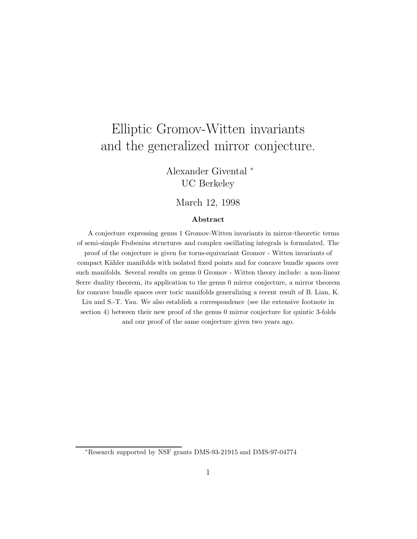# Elliptic Gromov-Witten invariants and the generalized mirror conjecture.

Alexander Givental <sup>∗</sup> UC Berkeley

March 12, 1998

#### Abstract

A conjecture expressing genus 1 Gromov-Witten invariants in mirror-theoretic terms of semi-simple Frobenius structures and complex oscillating integrals is formulated. The proof of the conjecture is given for torus-equivariant Gromov - Witten invariants of compact Kähler manifolds with isolated fixed points and for concave bundle spaces over such manifolds. Several results on genus 0 Gromov - Witten theory include: a non-linear Serre duality theorem, its application to the genus 0 mirror conjecture, a mirror theorem for concave bundle spaces over toric manifolds generalizing a recent result of B. Lian, K. Liu and S.-T. Yau. We also establish a correspondence (see the extensive footnote in section 4) between their new proof of the genus 0 mirror conjecture for quintic 3-folds and our proof of the same conjecture given two years ago.

<sup>∗</sup>Research supported by NSF grants DMS-93-21915 and DMS-97-04774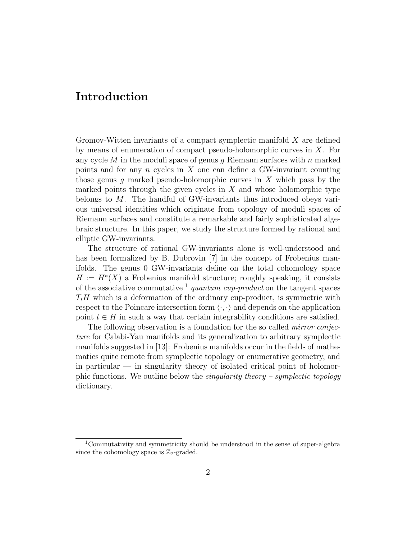### Introduction

Gromov-Witten invariants of a compact symplectic manifold  $X$  are defined by means of enumeration of compact pseudo-holomorphic curves in X. For any cycle M in the moduli space of genus g Riemann surfaces with n marked points and for any  $n$  cycles in  $X$  one can define a GW-invariant counting those genus g marked pseudo-holomorphic curves in  $X$  which pass by the marked points through the given cycles in  $X$  and whose holomorphic type belongs to  $M$ . The handful of GW-invariants thus introduced obeys various universal identities which originate from topology of moduli spaces of Riemann surfaces and constitute a remarkable and fairly sophisticated algebraic structure. In this paper, we study the structure formed by rational and elliptic GW-invariants.

The structure of rational GW-invariants alone is well-understood and has been formalized by B. Dubrovin [7] in the concept of Frobenius manifolds. The genus 0 GW-invariants define on the total cohomology space  $H := H^*(X)$  a Frobenius manifold structure; roughly speaking, it consists of the associative commutative  $\frac{1}{2}$  quantum cup-product on the tangent spaces  $T_tH$  which is a deformation of the ordinary cup-product, is symmetric with respect to the Poincare intersection form  $\langle \cdot, \cdot \rangle$  and depends on the application point  $t \in H$  in such a way that certain integrability conditions are satisfied.

The following observation is a foundation for the so called *mirror conjec*ture for Calabi-Yau manifolds and its generalization to arbitrary symplectic manifolds suggested in [13]: Frobenius manifolds occur in the fields of mathematics quite remote from symplectic topology or enumerative geometry, and in particular  $\frac{1}{\sqrt{2}}$  in singularity theory of isolated critical point of holomorphic functions. We outline below the *singularity theory – symplectic topology* dictionary.

<sup>1</sup>Commutativity and symmetricity should be understood in the sense of super-algebra since the cohomology space is  $\mathbb{Z}_2$ -graded.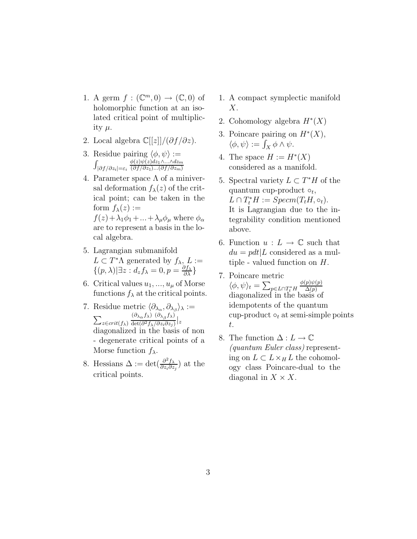- 1. A germ  $f : (\mathbb{C}^m, 0) \to (\mathbb{C}, 0)$  of holomorphic function at an isolated critical point of multiplicity  $\mu$ .
- 2. Local algebra  $\mathbb{C}[[z]]/(\partial f/\partial z)$ .
- 3. Residue pairing  $\langle \phi, \psi \rangle :=$  $\int_{|\partial f/\partial z_i|=\varepsilon_i}$  $\phi(z)\psi(z)dz_1\wedge...\wedge dz_m$  $(\partial f/\partial z_1)...(\partial f/\partial z_m)$
- 4. Parameter space  $\Lambda$  of a miniversal deformation  $f_{\lambda}(z)$  of the critical point; can be taken in the form  $f_{\lambda}(z) :=$  $f(z)+\lambda_1\phi_1+\ldots+\lambda_\mu\phi_\mu$  where  $\phi_\alpha$

are to represent a basis in the local algebra.

- 5. Lagrangian submanifold  $L \subset T^*\Lambda$  generated by  $f_{\lambda}, L :=$  $\{(p,\lambda)|\exists z:d_z f_\lambda=0, p=\frac{\partial f_\lambda}{\partial \lambda}\}\$
- 6. Critical values  $u_1, \ldots, u_\mu$  of Morse functions  $f_{\lambda}$  at the critical points.
- 7. Residue metric  $\langle \partial_{\lambda_{\alpha}}, \partial_{\lambda_{\beta}} \rangle_{\lambda} :=$  $\sum_{z \in crit(f_{\lambda})}$  $(\partial_{\lambda_{\alpha}}f_{\lambda})$   $(\partial_{\lambda_{\beta}}f_{\lambda})$  $\overline{\det(\partial^2 f_\lambda/\partial z_i\partial z_j)}\,|z|$ diagonalized in the basis of non - degenerate critical points of a Morse function  $f_{\lambda}$ .
- 8. Hessians  $\Delta := \det(\frac{\partial^2 f_\lambda}{\partial x \cdot \partial y})$  $\frac{\partial^2 f_\lambda}{\partial z_i \partial z_j}$  at the critical points.
- 1. A compact symplectic manifold  $X$ .
- 2. Cohomology algebra  $H^*(X)$
- 3. Poincare pairing on  $H^*(X)$ ,  $\langle \phi, \psi \rangle := \int_X \phi \wedge \psi.$
- 4. The space  $H := H^*(X)$ considered as a manifold.
- 5. Spectral variety  $L \subset T^*H$  of the quantum cup-product  $\circ_t$ ,  $L \cap T_t^*H := Specm(T_tH, \circ_t).$ It is Lagrangian due to the integrability condition mentioned above.
- 6. Function  $u: L \to \mathbb{C}$  such that  $du = pdt|L$  considered as a multiple - valued function on H.
- 7. Poincare metric  $\langle \phi, \psi \rangle_t = \sum_{p \in L \cap T_t^*H}$  $\phi(p)\psi(p)$  $\Delta(p)$ <br>diagonalized in the basis of idempotents of the quantum cup-product  $\circ_t$  at semi-simple points t.
- 8. The function  $\Delta: L \to \mathbb{C}$ (quantum Euler class) representing on  $L \subset L \times_H L$  the cohomology class Poincare-dual to the diagonal in  $X \times X$ .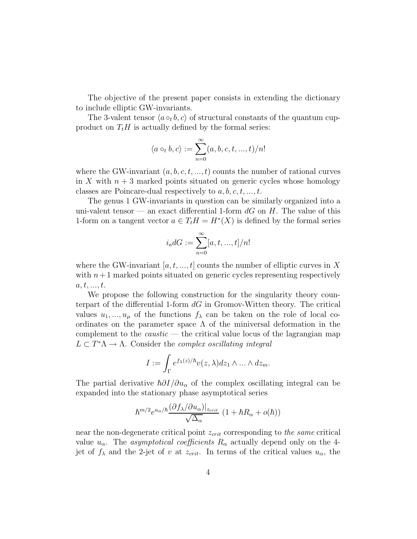The objective of the present paper consists in extending the dictionary to include elliptic GW-invariants.

The 3-valent tensor  $\langle a \circ_t b, c \rangle$  of structural constants of the quantum cupproduct on  $T_tH$  is actually defined by the formal series:

$$
\langle a \circ_t b, c \rangle := \sum_{n=0}^{\infty} (a, b, c, t, ..., t) / n!
$$

where the GW-invariant  $(a, b, c, t, ..., t)$  counts the number of rational curves in X with  $n + 3$  marked points situated on generic cycles whose homology classes are Poincare-dual respectively to  $a, b, c, t, \ldots, t$ .

The genus 1 GW-invariants in question can be similarly organized into a uni-valent tensor — an exact differential 1-form  $dG$  on H. The value of this 1-form on a tangent vector  $a \in T_t H = H^*(X)$  is defined by the formal series

$$
i_a dG := \sum_{n=0}^{\infty} [a, t, ..., t] / n!
$$

where the GW-invariant  $[a, t, ..., t]$  counts the number of elliptic curves in X with  $n+1$  marked points situated on generic cycles representing respectively  $a, t, \ldots, t.$ 

We propose the following construction for the singularity theory counterpart of the differential 1-form  $dG$  in Gromov-Witten theory. The critical values  $u_1, ..., u_\mu$  of the functions  $f_\lambda$  can be taken on the role of local coordinates on the parameter space  $\Lambda$  of the miniversal deformation in the complement to the *caustic* — the critical value locus of the lagrangian map  $L \subset T^*\Lambda \to \Lambda$ . Consider the *complex oscillating integral* 

$$
I := \int_{\Gamma} e^{f_{\lambda}(z)/\hbar} v(z, \lambda) dz_1 \wedge \ldots \wedge dz_m.
$$

The partial derivative  $\hbar \partial I/\partial u_{\alpha}$  of the complex oscillating integral can be expanded into the stationary phase asymptotical series

$$
\hbar^{m/2} e^{u_{\alpha}/\hbar} \frac{(\partial f_{\lambda}/\partial u_{\alpha})|_{z_{crit}}}{\sqrt{\Delta_{\alpha}}} (1 + \hbar R_{\alpha} + o(\hbar))
$$

near the non-degenerate critical point  $z_{crit}$  corresponding to the same critical value  $u_{\alpha}$ . The *asymptotical coefficients*  $R_{\alpha}$  actually depend only on the 4jet of  $f_{\lambda}$  and the 2-jet of v at  $z_{crit}$ . In terms of the critical values  $u_{\alpha}$ , the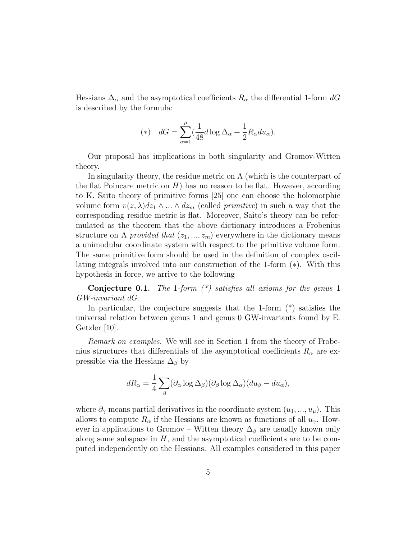Hessians  $\Delta_{\alpha}$  and the asymptotical coefficients  $R_{\alpha}$  the differential 1-form dG is described by the formula:

(\*) 
$$
dG = \sum_{\alpha=1}^{\mu} \left(\frac{1}{48}d\log \Delta_{\alpha} + \frac{1}{2}R_{\alpha}du_{\alpha}\right).
$$

Our proposal has implications in both singularity and Gromov-Witten theory.

In singularity theory, the residue metric on  $\Lambda$  (which is the counterpart of the flat Poincare metric on  $H$ ) has no reason to be flat. However, according to K. Saito theory of primitive forms [25] one can choose the holomorphic volume form  $v(z, \lambda)dz_1 \wedge ... \wedge dz_m$  (called *primitive*) in such a way that the corresponding residue metric is flat. Moreover, Saito's theory can be reformulated as the theorem that the above dictionary introduces a Frobenius structure on  $\Lambda$  provided that  $(z_1, ..., z_m)$  everywhere in the dictionary means a unimodular coordinate system with respect to the primitive volume form. The same primitive form should be used in the definition of complex oscillating integrals involved into our construction of the 1-form (∗). With this hypothesis in force, we arrive to the following

**Conjecture 0.1.** The 1-form  $(*)$  satisfies all axioms for the genus 1 GW-invariant dG.

In particular, the conjecture suggests that the 1-form (\*) satisfies the universal relation between genus 1 and genus 0 GW-invariants found by E. Getzler [10].

Remark on examples. We will see in Section 1 from the theory of Frobenius structures that differentials of the asymptotical coefficients  $R_{\alpha}$  are expressible via the Hessians  $\Delta_{\beta}$  by

$$
dR_{\alpha} = \frac{1}{4} \sum_{\beta} (\partial_{\alpha} \log \Delta_{\beta}) (\partial_{\beta} \log \Delta_{\alpha}) (du_{\beta} - du_{\alpha}),
$$

where  $\partial_{\gamma}$  means partial derivatives in the coordinate system  $(u_1, ..., u_{\mu})$ . This allows to compute  $R_{\alpha}$  if the Hessians are known as functions of all  $u_{\gamma}$ . However in applications to Gromov – Witten theory  $\Delta_{\beta}$  are usually known only along some subspace in  $H$ , and the asymptotical coefficients are to be computed independently on the Hessians. All examples considered in this paper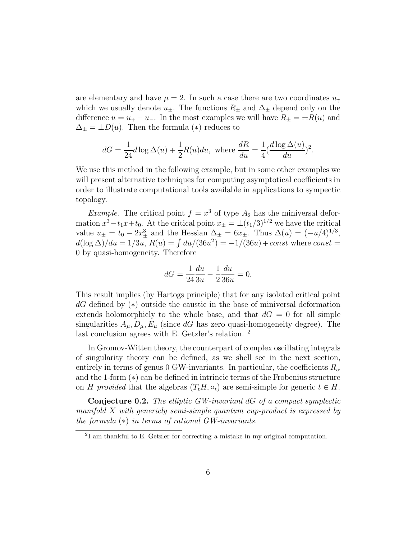are elementary and have  $\mu = 2$ . In such a case there are two coordinates  $u_{\gamma}$ which we usually denote  $u_{\pm}$ . The functions  $R_{\pm}$  and  $\Delta_{\pm}$  depend only on the difference  $u = u_{+} - u_{-}$ . In the most examples we will have  $R_{\pm} = \pm R(u)$  and  $\Delta_{\pm} = \pm D(u)$ . Then the formula (\*) reduces to

$$
dG = \frac{1}{24}d\log\Delta(u) + \frac{1}{2}R(u)du, \text{ where } \frac{dR}{du} = \frac{1}{4}(\frac{d\log\Delta(u)}{du})^2.
$$

We use this method in the following example, but in some other examples we will present alternative techniques for computing asymptotical coefficients in order to illustrate computational tools available in applications to sympectic topology.

*Example.* The critical point  $f = x^3$  of type  $A_2$  has the miniversal deformation  $x^3 - t_1x + t_0$ . At the critical point  $x_{\pm} = \pm (t_1/3)^{1/2}$  we have the critical value  $u_{\pm} = t_0 - 2x_{\pm}^3$  and the Hessian  $\Delta_{\pm} = 6x_{\pm}$ . Thus  $\Delta(u) = (-u/4)^{1/3}$ ,  $d(\log \Delta)/du = 1/3u, R(u) = \int du/(36u^2) = -1/(36u) + const$  where  $const =$ 0 by quasi-homogeneity. Therefore

$$
dG = \frac{1}{24} \frac{du}{3u} - \frac{1}{2} \frac{du}{36u} = 0.
$$

This result implies (by Hartogs principle) that for any isolated critical point  $dG$  defined by  $(*)$  outside the caustic in the base of miniversal deformation extends holomorphicly to the whole base, and that  $dG = 0$  for all simple singularities  $A_{\mu}, D_{\mu}, E_{\mu}$  (since dG has zero quasi-homogeneity degree). The last conclusion agrees with E. Getzler's relation. <sup>2</sup>

In Gromov-Witten theory, the counterpart of complex oscillating integrals of singularity theory can be defined, as we shell see in the next section, entirely in terms of genus 0 GW-invariants. In particular, the coefficients  $R_{\alpha}$ and the 1-form (∗) can be defined in intrincic terms of the Frobenius structure on H provided that the algebras  $(T_t H, \circ_t)$  are semi-simple for generic  $t \in H$ .

Conjecture 0.2. The elliptic GW-invariant dG of a compact symplectic manifold  $X$  with genericly semi-simple quantum cup-product is expressed by the formula  $(*)$  in terms of rational GW-invariants.

<sup>&</sup>lt;sup>2</sup>I am thankful to E. Getzler for correcting a mistake in my original computation.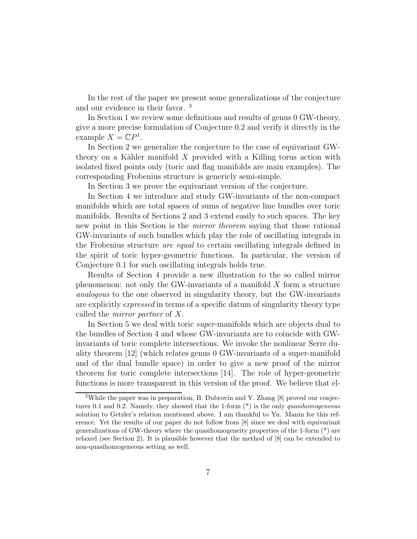In the rest of the paper we present some generalizations of the conjecture and our evidence in their favor. <sup>3</sup>

In Section 1 we review some definitions and results of genus 0 GW-theory, give a more precise formulation of Conjecture 0.2 and verify it directly in the example  $X = \mathbb{C}P^1$ .

In Section 2 we generalize the conjecture to the case of equivariant GWtheory on a Kähler manifold  $X$  provided with a Killing torus action with isolated fixed points only (toric and flag manifolds are main examples). The corresponding Frobenius structure is genericly semi-simple.

In Section 3 we prove the equivariant version of the conjecture.

In Section 4 we introduce and study GW-invariants of the non-compact manifolds which are total spaces of sums of negative line bundles over toric manifolds. Results of Sections 2 and 3 extend easily to such spaces. The key new point in this Section is the mirror theorem saying that those rational GW-invariants of such bundles which play the role of oscillating integrals in the Frobenius structure are equal to certain oscillating integrals defined in the spirit of toric hyper-geometric functions. In particular, the version of Conjecture 0.1 for such oscillating integrals holds true.

Results of Section 4 provide a new illustration to the so called mirror phenomenon: not only the GW-invariants of a manifold  $X$  form a structure analogous to the one observed in singularity theory, but the GW-invariants are explicitly expressed in terms of a specific datum of singularity theory type called the mirror partner of X.

In Section 5 we deal with toric *super*-manifolds which are objects dual to the bundles of Section 4 and whose GW-invariants are to coincide with GWinvariants of toric complete intersections. We invoke the nonlinear Serre duality theorem [12] (which relates genus 0 GW-invariants of a super-manifold and of the dual bundle space) in order to give a new proof of the mirror theorem for toric complete intersections [14]. The role of hyper-geometric functions is more transparent in this version of the proof. We believe that el-

<sup>3</sup>While the paper was in preparation, B. Dubrovin and Y. Zhang [8] proved our conjectures 0.1 and 0.2. Namely, they showed that the 1-form  $(*)$  is the only *quasihomogeneous* solution to Getzler's relation mentioned above. I am thankful to Yu. Manin for this reference. Yet the results of our paper do not follow from [8] since we deal with equivariant generalizations of GW-theory where the quasihomogeneity properties of the 1-form (\*) are relaxed (see Section 2). It is plausible however that the method of [8] can be extended to non-quasihomogeneous setting as well.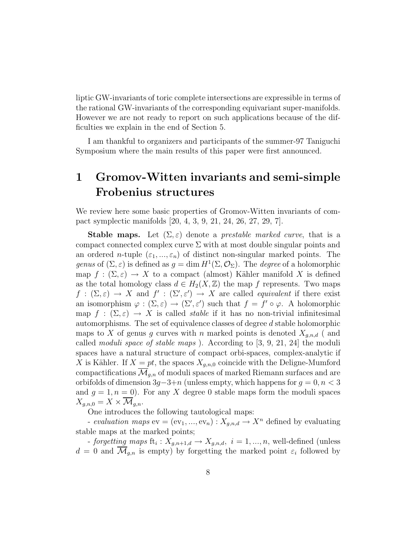liptic GW-invariants of toric complete intersections are expressible in terms of the rational GW-invariants of the corresponding equivariant super-manifolds. However we are not ready to report on such applications because of the difficulties we explain in the end of Section 5.

I am thankful to organizers and participants of the summer-97 Taniguchi Symposium where the main results of this paper were first announced.

## 1 Gromov-Witten invariants and semi-simple Frobenius structures

We review here some basic properties of Gromov-Witten invariants of compact symplectic manifolds [20, 4, 3, 9, 21, 24, 26, 27, 29, 7].

**Stable maps.** Let  $(\Sigma, \varepsilon)$  denote a *prestable marked curve*, that is a compact connected complex curve  $\Sigma$  with at most double singular points and an ordered *n*-tuple  $(\varepsilon_1, ..., \varepsilon_n)$  of distinct non-singular marked points. The genus of  $(\Sigma, \varepsilon)$  is defined as  $g = \dim H^1(\Sigma, \mathcal{O}_\Sigma)$ . The *degree* of a holomorphic map  $f : (\Sigma, \varepsilon) \to X$  to a compact (almost) Kähler manifold X is defined as the total homology class  $d \in H_2(X, \mathbb{Z})$  the map f represents. Two maps  $f: (\Sigma, \varepsilon) \to X$  and  $f': (\Sigma', \varepsilon') \to X$  are called *equivalent* if there exist an isomorphism  $\varphi : (\Sigma, \varepsilon) \to (\Sigma', \varepsilon')$  such that  $f = f' \circ \varphi$ . A holomorphic map  $f : (\Sigma, \varepsilon) \to X$  is called *stable* if it has no non-trivial infinitesimal automorphisms. The set of equivalence classes of degree d stable holomorphic maps to X of genus g curves with n marked points is denoted  $X_{g,n,d}$  (and called *moduli space of stable maps* ). According to  $\begin{bmatrix} 3, 9, 21, 24 \end{bmatrix}$  the moduli spaces have a natural structure of compact orbi-spaces, complex-analytic if X is Kähler. If  $X = pt$ , the spaces  $X_{q,n,0}$  coincide with the Deligne-Mumford compactifications  $\overline{\mathcal{M}}_{q,n}$  of moduli spaces of marked Riemann surfaces and are orbifolds of dimension  $3g-3+n$  (unless empty, which happens for  $g=0, n<3$ ) and  $q = 1, n = 0$ . For any X degree 0 stable maps form the moduli spaces  $X_{q,n,0} = X \times \mathcal{M}_{q,n}.$ 

One introduces the following tautological maps:

- evaluation maps  $ev = (ev_1, ..., ev_n) : X_{g,n,d} \to X^n$  defined by evaluating stable maps at the marked points;

- forgetting maps  $\text{ft}_i: X_{g,n+1,d} \to X_{g,n,d}, i = 1, ..., n$ , well-defined (unless  $d = 0$  and  $\mathcal{M}_{q,n}$  is empty) by forgetting the marked point  $\varepsilon_i$  followed by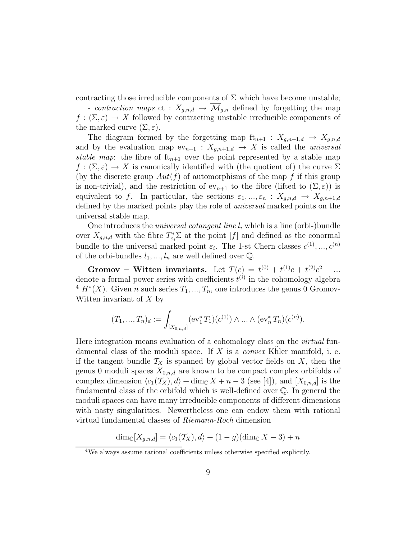contracting those irreducible components of  $\Sigma$  which have become unstable;

- contraction maps ct :  $X_{g,n,d} \to \overline{\mathcal{M}}_{g,n}$  defined by forgetting the map  $f : (\Sigma, \varepsilon) \to X$  followed by contracting unstable irreducible components of the marked curve  $(\Sigma, \varepsilon)$ .

The diagram formed by the forgetting map  $ft_{n+1}$ :  $X_{g,n+1,d} \rightarrow X_{g,n,d}$ and by the evaluation map  $ev_{n+1}$ :  $X_{g,n+1,d} \rightarrow X$  is called the *universal* stable map: the fibre of  $ft_{n+1}$  over the point represented by a stable map  $f : (\Sigma, \varepsilon) \to X$  is canonically identified with (the quotient of) the curve  $\Sigma$ (by the discrete group  $Aut(f)$  of automorphisms of the map f if this group is non-trivial), and the restriction of  $ev_{n+1}$  to the fibre (lifted to  $(\Sigma, \varepsilon)$ ) is equivalent to f. In particular, the sections  $\varepsilon_1, ..., \varepsilon_n : X_{g,n,d} \to X_{g,n+1,d}$ defined by the marked points play the role of universal marked points on the universal stable map.

One introduces the *universal cotangent line*  $l_i$  which is a line (orbi-)bundle over  $X_{g,n,d}$  with the fibre  $T^*_{\varepsilon_i} \Sigma$  at the point  $[f]$  and defined as the conormal bundle to the universal marked point  $\varepsilon_i$ . The 1-st Chern classes  $c^{(1)},...,c^{(n)}$ of the orbi-bundles  $l_1, ..., l_n$  are well defined over  $\mathbb{Q}$ .

Gromov – Witten invariants. Let  $T(c) = t^{(0)} + t^{(1)}c + t^{(2)}c^2 + ...$ denote a formal power series with coefficients  $t^{(i)}$  in the cohomology algebra <sup>4</sup>  $H^*(X)$ . Given *n* such series  $T_1, ..., T_n$ , one introduces the genus 0 Gromov-Witten invariant of  $X$  by

$$
(T_1, ..., T_n)_d := \int_{[X_{0,n,d}]} (\mathrm{ev}_1^* T_1)(c^{(1)}) \wedge ... \wedge (\mathrm{ev}_n^* T_n)(c^{(n)}).
$$

Here integration means evaluation of a cohomology class on the virtual fundamental class of the moduli space. If  $X$  is a *convex* Khler manifold, i. e. if the tangent bundle  $\mathcal{T}_X$  is spanned by global vector fields on X, then the genus 0 moduli spaces  $X_{0,n,d}$  are known to be compact complex orbifolds of complex dimension  $\langle c_1(\mathcal{T}_X), d \rangle + \dim_{\mathbb{C}} X + n - 3$  (see [4]), and  $[X_{0,n,d}]$  is the findamental class of the orbifold which is well-defined over Q. In general the moduli spaces can have many irreducible components of different dimensions with nasty singularities. Newertheless one can endow them with rational virtual fundamental classes of Riemann-Roch dimension

$$
\dim_{\mathbb{C}}[X_{g,n,d}] = \langle c_1(\mathcal{T}_X), d \rangle + (1 - g)(\dim_{\mathbb{C}} X - 3) + n
$$

<sup>4</sup>We always assume rational coefficients unless otherwise specified explicitly.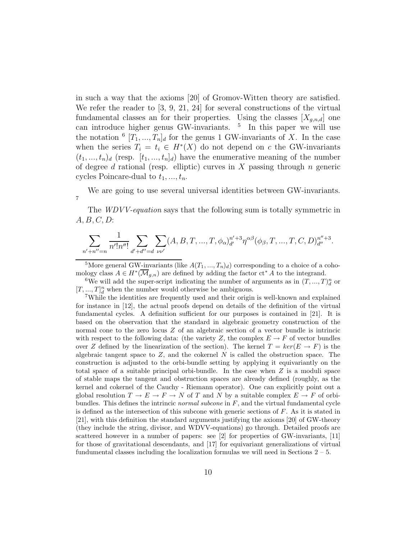in such a way that the axioms [20] of Gromov-Witten theory are satisfied. We refer the reader to [3, 9, 21, 24] for several constructions of the virtual fundamental classes an for their properties. Using the classes  $[X_{g,n,d}]$  one can introduce higher genus GW-invariants. <sup>5</sup> In this paper we will use the notation  $\frac{6}{3}[T_1, ..., T_n]_d$  for the genus 1 GW-invariants of X. In the case when the series  $T_i = t_i \in H^*(X)$  do not depend on c the GW-invariants  $(t_1, ..., t_n)_d$  (resp.  $[t_1, ..., t_n]_d$ ) have the enumerative meaning of the number of degree d rational (resp. elliptic) curves in  $X$  passing through  $n$  generic cycles Poincare-dual to  $t_1, ..., t_n$ .

We are going to use several universal identities between GW-invariants. 7

The *WDVV-equation* says that the following sum is totally symmetric in  $A, B, C, D$ :

$$
\sum_{n'+n''=n} \frac{1}{n'!n''!} \sum_{d'+d''=d} \sum_{\nu \nu'} (A, B, T, ..., T, \phi_\alpha)_{d'}^{n'+3} \eta^{\alpha \beta} (\phi_\beta, T, ..., T, C, D)_{d''}^{n''+3}.
$$

<sup>6</sup>We will add the super-script indicating the number of arguments as in  $(T, ..., T)<sup>n</sup><sub>d</sub>$  or  $[T, ..., T]_d^n$  when the number would otherwise be ambiguous.

<sup>7</sup>While the identities are frequently used and their origin is well-known and explained for instance in [12], the actual proofs depend on details of the definition of the virtual fundamental cycles. A definition sufficient for our purposes is contained in [21]. It is based on the observation that the standard in algebraic geometry construction of the normal cone to the zero locus  $Z$  of an algebraic section of a vector bundle is intrincic with respect to the following data: (the variety Z, the complex  $E \to F$  of vector bundles over Z defined by the linearization of the section). The kernel  $T = \text{ker}(E \to F)$  is the algebraic tangent space to  $Z$ , and the cokernel  $N$  is called the obstruction space. The construction is adjusted to the orbi-bundle setting by applying it equivariantly on the total space of a suitable principal orbi-bundle. In the case when  $Z$  is a moduli space of stable maps the tangent and obstruction spaces are already defined (roughly, as the kernel and cokernel of the Cauchy - Riemann operator). One can explicitly point out a global resolution  $T \to E \to F \to N$  of T and N by a suitable complex  $E \to F$  of orbibundles. This defines the intrincic *normal subcone* in  $F$ , and the virtual fundamental cycle is defined as the intersection of this subcone with generic sections of F. As it is stated in [21], with this definition the standard arguments justifying the axioms [20] of GW-theory (they include the string, divisor, and WDVV-equations) go through. Detailed proofs are scattered however in a number of papers: see  $|2|$  for properties of GW-invariants,  $|11|$ for those of gravitational descendants, and [17] for equivariant generalizations of virtual fundumental classes including the localization formulas we will need in Sections  $2 - 5$ .

<sup>&</sup>lt;sup>5</sup>More general GW-invariants (like  $A(T_1, ..., T_n)_d$ ) corresponding to a choice of a cohomology class  $A \in H^*(\overline{\mathcal{M}}_{g,n})$  are defined by adding the factor  $ct^* A$  to the integrand.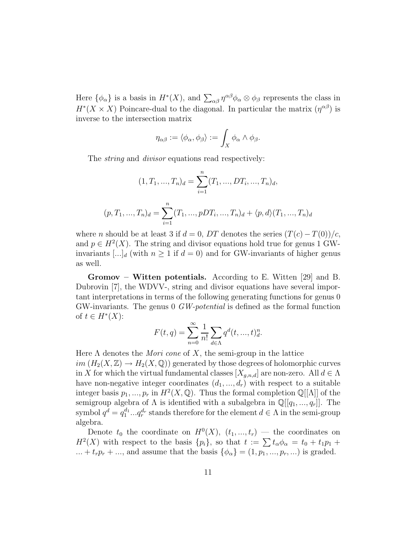Here  $\{\phi_{\alpha}\}\$ is a basis in  $H^*(X)$ , and  $\sum_{\alpha\beta}\eta^{\alpha\beta}\phi_{\alpha}\otimes\phi_{\beta}$  represents the class in  $H^*(X \times X)$  Poincare-dual to the diagonal. In particular the matrix  $(\eta^{\alpha\beta})$  is inverse to the intersection matrix

$$
\eta_{\alpha\beta} := \langle \phi_{\alpha}, \phi_{\beta} \rangle := \int_X \phi_{\alpha} \wedge \phi_{\beta}.
$$

The *string* and *divisor* equations read respectively:

$$
(1, T_1, ..., T_n)_d = \sum_{i=1}^n (T_1, ..., DT_i, ..., T_n)_d,
$$

$$
(p, T_1, ..., T_n)_d = \sum_{i=1}^n (T_1, ..., pDT_i, ..., T_n)_d + \langle p, d \rangle (T_1, ..., T_n)_d
$$

where n should be at least 3 if  $d = 0$ , DT denotes the series  $(T(c) - T(0))/c$ , and  $p \in H^2(X)$ . The string and divisor equations hold true for genus 1 GWinvariants  $[\ldots]_d$  (with  $n \geq 1$  if  $d = 0$ ) and for GW-invariants of higher genus as well.

Gromov – Witten potentials. According to E. Witten [29] and B. Dubrovin [7], the WDVV-, string and divisor equations have several important interpretations in terms of the following generating functions for genus 0 GW-invariants. The genus 0 GW-potential is defined as the formal function of  $t \in H^*(X)$ :

$$
F(t,q) = \sum_{n=0}^{\infty} \frac{1}{n!} \sum_{d \in \Lambda} q^d(t, ..., t)_d^n.
$$

Here  $\Lambda$  denotes the *Mori cone* of X, the semi-group in the lattice  $im (H_2(X, \mathbb{Z}) \to H_2(X, \mathbb{Q}))$  generated by those degrees of holomorphic curves in X for which the virtual fundamental classes  $[X_{g,n,d}]$  are non-zero. All  $d \in \Lambda$ have non-negative integer coordinates  $(d_1, ..., d_r)$  with respect to a suitable integer basis  $p_1, ..., p_r$  in  $H^2(X, \mathbb{Q})$ . Thus the formal completion  $\mathbb{Q}[[\Lambda]]$  of the semigroup algebra of  $\Lambda$  is identified with a subalgebra in  $\mathbb{Q}[[q_1, ..., q_r]]$ . The symbol  $q^d = q_1^{d_1} \dots q_r^{d_r}$  stands therefore for the element  $d \in \Lambda$  in the semi-group algebra.

Denote  $t_0$  the coordinate on  $H^0(X)$ ,  $(t_1,...,t_r)$  — the coordinates on  $H<sup>2</sup>(X)$  with respect to the basis  $\{p_i\}$ , so that  $t := \sum t_\alpha \phi_\alpha = t_0 + t_1 p_1 +$ ... +  $t_r p_r + ...$ , and assume that the basis  $\{\phi_\alpha\} = (1, p_1, ..., p_r, ...)$  is graded.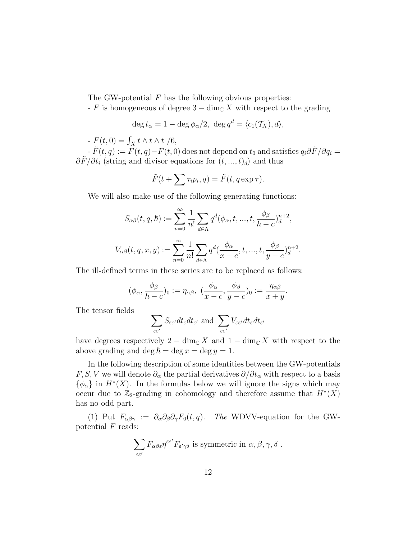The GW-potential  $F$  has the following obvious properties:

- F is homogeneous of degree  $3 - \dim_{\mathbb{C}} X$  with respect to the grading

$$
\deg t_{\alpha} = 1 - \deg \phi_{\alpha}/2, \ \deg q^{d} = \langle c_1(\mathcal{T}_X), d \rangle,
$$

$$
F(t,0) = \int_X t \wedge t \wedge t / 6,
$$

 $-F(t, q) := F(t, q) - F(t, 0)$  does not depend on  $t_0$  and satisfies  $q_i \partial \tilde{F} / \partial q_i =$  $\partial \tilde{F}/\partial t_i$  (string and divisor equations for  $(t, ..., t)_d$ ) and thus

$$
\tilde{F}(t+\sum \tau_i p_i,q)=\tilde{F}(t,q\exp\tau).
$$

We will also make use of the following generating functions:

$$
S_{\alpha\beta}(t, q, \hbar) := \sum_{n=0}^{\infty} \frac{1}{n!} \sum_{d \in \Lambda} q^d(\phi_{\alpha}, t, ..., t, \frac{\phi_{\beta}}{\hbar - c})_d^{n+2},
$$
  

$$
V_{\alpha\beta}(t, q, x, y) := \sum_{n=0}^{\infty} \frac{1}{n!} \sum_{d \in \Lambda} q^d(\frac{\phi_{\alpha}}{x - c}, t, ..., t, \frac{\phi_{\beta}}{y - c})_d^{n+2}.
$$

The ill-defined terms in these series are to be replaced as follows:

$$
(\phi_{\alpha}, \frac{\phi_{\beta}}{\hbar - c})_0 := \eta_{\alpha\beta}, \ (\frac{\phi_{\alpha}}{x - c}, \frac{\phi_{\beta}}{y - c})_0 := \frac{\eta_{\alpha\beta}}{x + y}.
$$

The tensor fields

$$
\sum_{\varepsilon \varepsilon'} S_{\varepsilon \varepsilon'} dt_{\varepsilon} dt_{\varepsilon'} \text{ and } \sum_{\varepsilon \varepsilon'} V_{\varepsilon \varepsilon'} dt_{\varepsilon} dt_{\varepsilon'}
$$

have degrees respectively 2 – dim<sub>C</sub> X and 1 – dim<sub>C</sub> X with respect to the above grading and deg  $\hbar = \deg x = \deg y = 1$ .

In the following description of some identities between the GW-potentials F, S, V we will denote  $\partial_{\alpha}$  the partial derivatives  $\partial/\partial t_{\alpha}$  with respect to a basis  $\{\phi_{\alpha}\}\$  in  $H^*(X)$ . In the formulas below we will ignore the signs which may occur due to  $\mathbb{Z}_2$ -grading in cohomology and therefore assume that  $H^*(X)$ has no odd part.

(1) Put  $F_{\alpha\beta\gamma} := \partial_{\alpha}\partial_{\beta}\partial_{\gamma}F_0(t, q)$ . The WDVV-equation for the GWpotential  $F$  reads:

$$
\sum_{\varepsilon\in'\;}F_{\alpha\beta\varepsilon}\eta^{\varepsilon\varepsilon'}F_{\varepsilon'\gamma\delta}\;\text{is symmetric in}\;\alpha,\beta,\gamma,\delta\;.
$$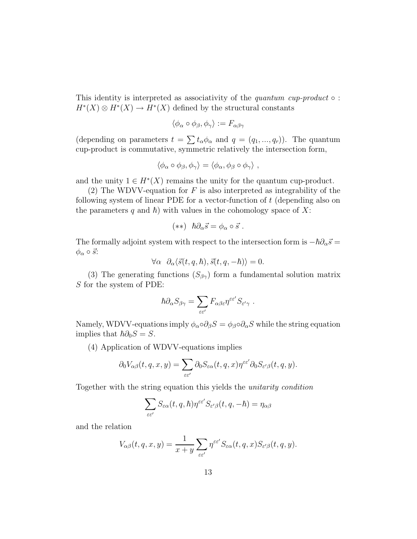This identity is interpreted as associativity of the *quantum cup-product*  $\circ$ :  $H^*(X) \otimes H^*(X) \to H^*(X)$  defined by the structural constants

$$
\langle \phi_\alpha \circ \phi_\beta, \phi_\gamma \rangle := F_{\alpha\beta\gamma}
$$

(depending on parameters  $t = \sum t_{\alpha} \phi_{\alpha}$  and  $q = (q_1, ..., q_r)$ ). The quantum cup-product is commutative, symmetric relatively the intersection form,

$$
\langle \phi_\alpha \circ \phi_\beta, \phi_\gamma \rangle = \langle \phi_\alpha, \phi_\beta \circ \phi_\gamma \rangle ,
$$

and the unity  $1 \in H^*(X)$  remains the unity for the quantum cup-product.

(2) The WDVV-equation for  $F$  is also interpreted as integrability of the following system of linear PDE for a vector-function of t (depending also on the parameters q and  $\hbar$ ) with values in the cohomology space of X:

$$
(**) \quad \hbar \partial_{\alpha} \vec{s} = \phi_{\alpha} \circ \vec{s} \ .
$$

The formally adjoint system with respect to the intersection form is  $-\hbar \partial_{\alpha} \vec{s} =$  $\phi_\alpha \circ \vec{s}$ :

$$
\forall \alpha \ \partial_{\alpha} \langle \vec{s}(t, q, \hbar), \vec{s}(t, q, -\hbar) \rangle = 0.
$$

(3) The generating functions  $(S_{\beta\gamma})$  form a fundamental solution matrix S for the system of PDE:

$$
\hbar \partial_\alpha S_{\beta\gamma} = \sum_{\varepsilon \varepsilon'} F_{\alpha\beta\varepsilon} \eta^{\varepsilon \varepsilon'} S_{\varepsilon'\gamma} .
$$

Namely, WDVV-equations imply  $\phi_{\alpha} \circ \partial_{\beta} S = \phi_{\beta} \circ \partial_{\alpha} S$  while the string equation implies that  $\hbar \partial_0 S = S$ .

(4) Application of WDVV-equations implies

$$
\partial_0 V_{\alpha\beta}(t,q,x,y)=\sum_{\varepsilon\varepsilon'}\partial_0 S_{\varepsilon\alpha}(t,q,x)\eta^{\varepsilon\varepsilon'}\partial_0 S_{\varepsilon'\beta}(t,q,y).
$$

Together with the string equation this yields the unitarity condition

$$
\sum_{\varepsilon \varepsilon'} S_{\varepsilon \alpha}(t,q,\hbar) \eta^{\varepsilon \varepsilon'} S_{\varepsilon' \beta}(t,q,-\hbar) = \eta_{\alpha \beta}
$$

and the relation

$$
V_{\alpha\beta}(t,q,x,y) = \frac{1}{x+y} \sum_{\varepsilon \varepsilon'} \eta^{\varepsilon \varepsilon'} S_{\varepsilon \alpha}(t,q,x) S_{\varepsilon'\beta}(t,q,y).
$$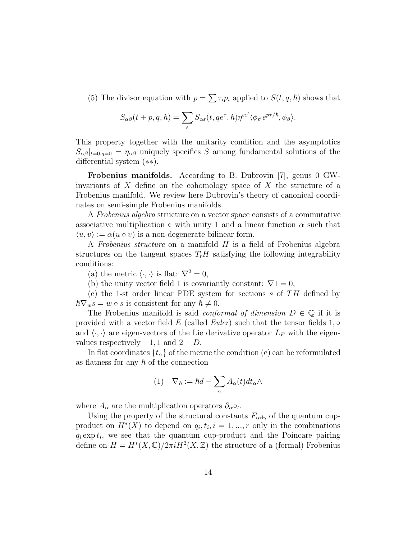(5) The divisor equation with  $p = \sum \tau_i p_i$  applied to  $S(t, q, \hbar)$  shows that

$$
S_{\alpha\beta}(t+p,q,\hbar)=\sum_{\varepsilon}S_{\alpha\varepsilon}(t,qe^{\tau},\hbar)\eta^{\varepsilon\varepsilon'}\langle\phi_{\varepsilon'}e^{p\tau/\hbar},\phi_{\beta}\rangle.
$$

This property together with the unitarity condition and the asymptotics  $S_{\alpha\beta}|_{t=0,q=0} = \eta_{\alpha\beta}$  uniquely specifies S among fundamental solutions of the differential system (∗∗).

Frobenius manifolds. According to B. Dubrovin [7], genus 0 GWinvariants of  $X$  define on the cohomology space of  $X$  the structure of a Frobenius manifold. We review here Dubrovin's theory of canonical coordinates on semi-simple Frobenius manifolds.

A Frobenius algebra structure on a vector space consists of a commutative associative multiplication  $\circ$  with unity 1 and a linear function  $\alpha$  such that  $\langle u, v \rangle := \alpha(u \circ v)$  is a non-degenerate bilinear form.

A Frobenius structure on a manifold H is a field of Frobenius algebra structures on the tangent spaces  $T_t H$  satisfying the following integrability conditions:

(a) the metric  $\langle \cdot, \cdot \rangle$  is flat:  $\nabla^2 = 0$ ,

(b) the unity vector field 1 is covariantly constant:  $\nabla 1 = 0$ ,

(c) the 1-st order linear PDE system for sections  $s$  of  $TH$  defined by  $\hbar \nabla_w s = w \circ s$  is consistent for any  $\hbar \neq 0$ .

The Frobenius manifold is said *conformal of dimension*  $D \in \mathbb{Q}$  if it is provided with a vector field  $E$  (called *Euler*) such that the tensor fields 1,  $\circ$ and  $\langle \cdot, \cdot \rangle$  are eigen-vectors of the Lie derivative operator  $L_E$  with the eigenvalues respectively  $-1$ , 1 and  $2 - D$ .

In flat coordinates  $\{t_{\alpha}\}\$  of the metric the condition (c) can be reformulated as flatness for any  $\hbar$  of the connection

$$
(1) \quad \nabla_{\hbar} := \hbar d - \sum_{\alpha} A_{\alpha}(t) dt_{\alpha} \wedge
$$

where  $A_{\alpha}$  are the multiplication operators  $\partial_{\alpha} \circ_t$ .

Using the property of the structural constants  $F_{\alpha\beta\gamma}$  of the quantum cupproduct on  $H^*(X)$  to depend on  $q_i, t_i, i = 1, ..., r$  only in the combinations  $q_i \exp t_i$ , we see that the quantum cup-product and the Poincare pairing define on  $H = H^*(X, \mathbb{C})/2\pi i H^2(X, \mathbb{Z})$  the structure of a (formal) Frobenius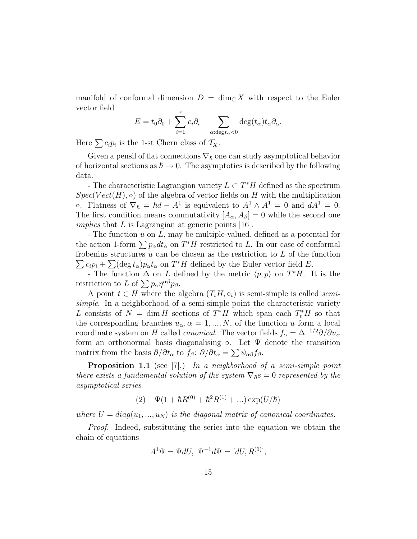manifold of conformal dimension  $D = \dim_{\mathbb{C}} X$  with respect to the Euler vector field

$$
E = t_0 \partial_0 + \sum_{i=1}^r c_i \partial_i + \sum_{\alpha : \text{deg} t_\alpha < 0} \text{deg}(t_\alpha) t_\alpha \partial_\alpha.
$$

Here  $\sum c_i p_i$  is the 1-st Chern class of  $\mathcal{T}_X$ .

Given a pensil of flat connections  $\nabla_{\hbar}$  one can study asymptotical behavior of horizontal sections as  $\hbar \to 0$ . The asymptotics is described by the following data.

- The characteristic Lagrangian variety  $L \subset T^*H$  defined as the spectrum  $Spec(Vect(H), \circ)$  of the algebra of vector fields on H with the multiplication °. Flatness of  $\nabla_h = \hbar d - A^1$  is equivalent to  $A^1 \wedge A^1 = 0$  and  $dA^1 = 0$ . The first condition means commutativity  $[A_{\alpha}, A_{\beta}] = 0$  while the second one *implies* that  $L$  is Lagrangian at generic points [16].

- The function  $u$  on  $L$ , may be multiple-valued, defined as a potential for the action 1-form  $\sum p_{\alpha} dt_{\alpha}$  on  $T^*H$  restricted to L. In our case of conformal  $\sum c_i p_i + \sum (\deg t_\alpha) p_\alpha t_\alpha$  on  $T^*H$  defined by the Euler vector field E. frobenius structures  $u$  can be chosen as the restriction to  $L$  of the function

- The function  $\Delta$  on L defined by the metric  $\langle p, p \rangle$  on  $T^*H$ . It is the restriction to L of  $\sum p_{\alpha} \eta^{\alpha\beta} p_{\beta}$ .

A point  $t \in H$  where the algebra  $(T_t H, \circ_t)$  is semi-simple is called *semi*simple. In a neighborhood of a semi-simple point the characteristic variety L consists of  $N = \dim H$  sections of  $T^*H$  which span each  $T_t^*H$  so that the corresponding branches  $u_{\alpha}, \alpha = 1, ..., N$ , of the function u form a local coordinate system on H called *canonical*. The vector fields  $f_{\alpha} = \Delta^{-1/2} \partial / \partial u_{\alpha}$ form an orthonormal basis diagonalising  $\circ$ . Let  $\Psi$  denote the transition matrix from the basis  $\partial/\partial t_{\alpha}$  to  $f_{\beta}$ :  $\partial/\partial t_{\alpha} = \sum \psi_{\alpha\beta} f_{\beta}$ .

**Proposition 1.1** (see [7].) In a neighborhood of a semi-simple point there exists a fundamental solution of the system  $\nabla_{\hbar} s = 0$  represented by the asymptotical series

(2) 
$$
\Psi(1 + \hbar R^{(0)} + \hbar^2 R^{(1)} + ...)\exp(U/\hbar)
$$

where  $U = diag(u_1, ..., u_N)$  is the diagonal matrix of canonical coordinates.

Proof. Indeed, substituting the series into the equation we obtain the chain of equations

$$
A^{1}\Psi = \Psi dU, \ \Psi^{-1}d\Psi = [dU, R^{(0)}],
$$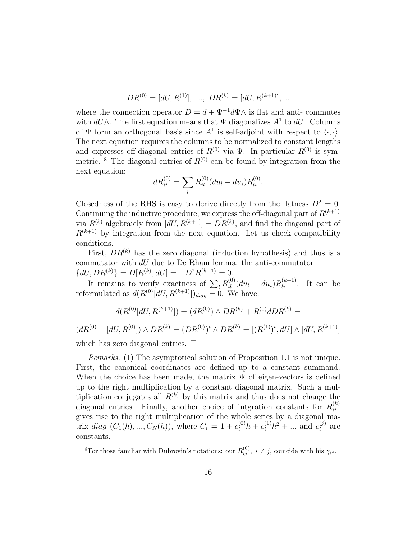$$
DR^{(0)}=[dU,R^{(1)}],\ ...,\ DR^{(k)}=[dU,R^{(k+1)}],...
$$

where the connection operator  $D = d + \Psi^{-1} d\Psi \wedge$  is flat and anti- commutes with  $dU \wedge$ . The first equation means that  $\Psi$  diagonalizes  $A^1$  to  $dU$ . Columns of  $\Psi$  form an orthogonal basis since  $A^1$  is self-adjoint with respect to  $\langle \cdot, \cdot \rangle$ . The next equation requires the columns to be normalized to constant lengths and expresses off-diagonal entries of  $R^{(0)}$  via Ψ. In particular  $R^{(0)}$  is symmetric. <sup>8</sup> The diagonal entries of  $R^{(0)}$  can be found by integration from the next equation:

$$
dR_{ii}^{(0)} = \sum_{l} R_{il}^{(0)}(du_l - du_i)R_{li}^{(0)}.
$$

Closedness of the RHS is easy to derive directly from the flatness  $D^2 = 0$ . Continuing the inductive procedure, we express the off-diagonal part of  $R^{(k+1)}$ via  $R^{(k)}$  algebraicly from  $[dU, R^{(k+1)}] = DR^{(k)}$ , and find the diagonal part of  $R^{(k+1)}$  by integration from the next equation. Let us check compatibility conditions.

First,  $DR^{(k)}$  has the zero diagonal (induction hypothesis) and thus is a commutator with  $dU$  due to De Rham lemma: the anti-commutator  ${dU, DR^{(k)}\} = D[R^{(k)}, dU] = -D^2R^{(k-1)} = 0.$ 

It remains to verify exactness of  $\sum_l R_{il}^{(0)}(du_l - du_i)R_{li}^{(k+1)}$ . It can be reformulated as  $d(R^{(0)}[dU, R^{(k+1)}])_{diag} = 0$ . We have:

$$
d(R^{(0)}[dU, R^{(k+1)}]) = (dR^{(0)}) \wedge DR^{(k)} + R^{(0)}dDR^{(k)} =
$$

 $(dR^{(0)} - [dU, R^{(0)}]) \wedge DR^{(k)} = (DR^{(0)})^t \wedge DR^{(k)} = [(R^{(1)})^t, dU] \wedge [dU, R^{(k+1)}]$ 

which has zero diagonal entries.  $\square$ 

Remarks. (1) The asymptotical solution of Proposition 1.1 is not unique. First, the canonical coordinates are defined up to a constant summand. When the choice has been made, the matrix  $\Psi$  of eigen-vectors is defined up to the right multiplication by a constant diagonal matrix. Such a multiplication conjugates all  $R^{(k)}$  by this matrix and thus does not change the diagonal entries. Finally, another choice of intgration constants for  $R_{ii}^{(k)}$ ii gives rise to the right multiplication of the whole series by a diagonal matrix diag  $(C_1(h), ..., C_N(h))$ , where  $C_i = 1 + c_i^{(0)}h + c_i^{(1)}h^2 + ...$  and  $c_i^{(j)}$  $i^{(j)}$  are constants.

<sup>&</sup>lt;sup>8</sup>For those familiar with Dubrovin's notations: our  $R_{ij}^{(0)}$ ,  $i \neq j$ , coincide with his  $\gamma_{ij}$ .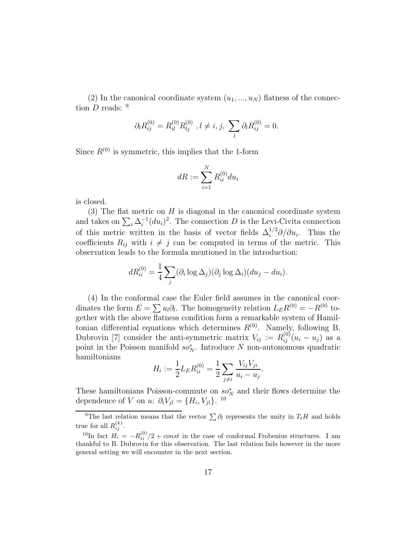(2) In the canonical coordinate system  $(u_1, ..., u_N)$  flatness of the connection  $D$  reads:  $9$ 

$$
\partial_l R_{ij}^{(0)} = R_{il}^{(0)} R_{lj}^{(0)} , l \neq i, j, \sum_l \partial_l R_{ij}^{(0)} = 0.
$$

Since  $R^{(0)}$  is symmetric, this implies that the 1-form

$$
dR := \sum_{i=1}^{N} R_{ii}^{(0)} du_i
$$

is closed.

(3) The flat metric on  $H$  is diagonal in the canonical coordinate system and takes on  $\sum_i \Delta_i^{-1}(du_i)^2$ . The connection D is the Levi-Civita connection of this metric written in the basis of vector fields  $\Delta_i^{1/2}\partial/\partial u_i$ . Thus the coefficients  $R_{ij}$  with  $i \neq j$  can be computed in terms of the metric. This observation leads to the formula mentioned in the introduction:

$$
dR_{ii}^{(0)} = \frac{1}{4} \sum_j (\partial_i \log \Delta_j)(\partial_j \log \Delta_i)(du_j - du_i).
$$

(4) In the conformal case the Euler field assumes in the canonical coordinates the form  $E = \sum u_l \partial_l$ . The homogeneity relation  $L_E R^{(0)} = -R^{(0)}$  together with the above flatness condition form a remarkable system of Hamiltonian differential equations which determines  $R^{(0)}$ . Namely, following B. Dubrovin [7] consider the anti-symmetric matrix  $V_{ij} := R_{ij}^{(0)} (u_i - u_j)$  as a point in the Poisson manifold  $so_N^*$ . Introduce N non-autonomous quadratic hamiltonians

$$
H_i := \frac{1}{2} L_E R_{ii}^{(0)} = \frac{1}{2} \sum_{j \neq i} \frac{V_{ij} V_{ji}}{u_i - u_j}.
$$

These hamiltonians Poisson-commute on  $so_N^*$  and their flows determine the dependence of *V* on *u*:  $\partial_i V_{jl} = \{H_i, V_{jl}\}.$ <sup>10</sup>

<sup>&</sup>lt;sup>9</sup>The last relation means that the vector  $\sum \partial_l$  represents the unity in  $T_tH$  and holds true for all  $R_{ij}^{(k)}$ .

<sup>&</sup>lt;sup>10</sup>In fact  $H_i = -R_{ii}^{(0)}/2 + const$  in the case of conformal Frobenius structures. I am thankful to B. Dubrovin for this observation. The last relation fails however in the more general setting we will encounter in the next section.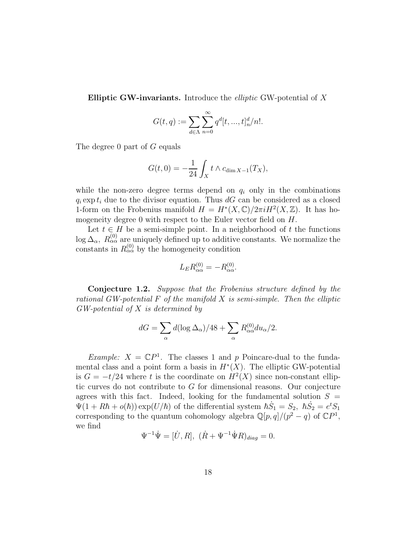**Elliptic GW-invariants.** Introduce the *elliptic* GW-potential of  $X$ 

$$
G(t,q):=\sum_{d\in\Lambda}\sum_{n=0}^\infty q^d[t,...,t]^d_n/n!.
$$

The degree 0 part of G equals

$$
G(t,0) = -\frac{1}{24} \int_X t \wedge c_{\dim X - 1}(T_X),
$$

while the non-zero degree terms depend on  $q_i$  only in the combinations  $q_i \exp t_i$  due to the divisor equation. Thus dG can be considered as a closed 1-form on the Frobenius manifold  $H = H^*(X, \mathbb{C})/2\pi i H^2(X, \mathbb{Z})$ . It has homogeneity degree 0 with respect to the Euler vector field on  $H$ .

Let  $t \in H$  be a semi-simple point. In a neighborhood of t the functions log  $\Delta_{\alpha}$ ,  $R_{\alpha\alpha}^{(0)}$  are uniquely defined up to additive constants. We normalize the constants in  $R_{\alpha\alpha}^{(0)}$  by the homogeneity condition

$$
L_E R_{\alpha\alpha}^{(0)} = -R_{\alpha\alpha}^{(0)}.
$$

Conjecture 1.2. Suppose that the Frobenius structure defined by the rational GW-potential  $F$  of the manifold  $X$  is semi-simple. Then the elliptic  $GW$ -potential of  $X$  is determined by

$$
dG = \sum_{\alpha} d(\log \Delta_{\alpha})/48 + \sum_{\alpha} R_{\alpha\alpha}^{(0)} du_{\alpha}/2.
$$

*Example:*  $X = \mathbb{C}P^1$ . The classes 1 and p Poincare-dual to the fundamental class and a point form a basis in  $H^*(X)$ . The elliptic GW-potential is  $G = -t/24$  where t is the coordinate on  $H^2(X)$  since non-constant elliptic curves do not contribute to G for dimensional reasons. Our conjecture agrees with this fact. Indeed, looking for the fundamental solution  $S =$  $\Psi(1 + R\hbar + o(\hbar)) \exp(U/\hbar)$  of the differential system  $\hbar \dot{S}_1 = S_2, \ \hbar \dot{S}_2 = e^t S_1$ corresponding to the quantum cohomology algebra  $\mathbb{Q}[p,q]/(p^2-q)$  of  $\mathbb{C}P^1$ , we find

$$
\Psi^{-1}\dot{\Psi} = [\dot{U}, R], \; (\dot{R} + \Psi^{-1}\dot{\Psi}R)_{diag} = 0.
$$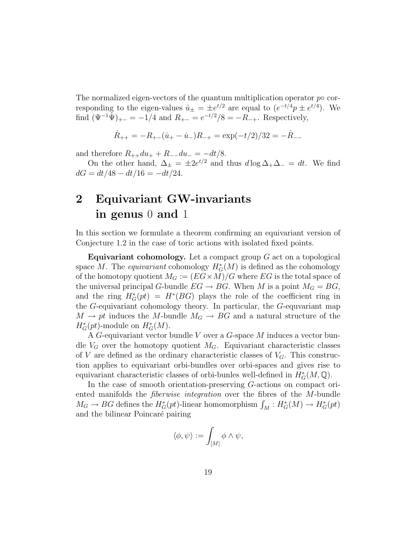The normalized eigen-vectors of the quantum multiplication operator p∘ corresponding to the eigen-values  $\dot{u}_{\pm} = \pm e^{t/2}$  are equal to  $(e^{-t/4}p \pm e^{t/4})$ . We find  $(\Psi^{-1} \tilde{\Psi})_{+-} = -1/4$  and  $R_{+-} = e^{-t/2}/8 = -R_{-+}$ . Respectively,

$$
\dot{R}_{++} = -R_{+-}(\dot{u}_+ - \dot{u}_-)R_{-+} = \exp(-t/2)/32 = -\dot{R}_{--}
$$

and therefore  $R_{++}du_+ + R_{--}du_- = -dt/8$ .

On the other hand,  $\Delta_{\pm} = \pm 2e^{t/2}$  and thus  $d \log \Delta_{+} \Delta_{-} = dt$ . We find  $dG = dt/48 - dt/16 = -dt/24.$ 

## 2 Equivariant GW-invariants in genus 0 and 1

In this section we formulate a theorem confirming an equivariant version of Conjecture 1.2 in the case of toric actions with isolated fixed points.

**Equivariant cohomology.** Let a compact group  $G$  act on a topological space M. The *equivariant* cohomology  $H_G^*(M)$  is defined as the cohomology of the homotopy quotient  $M_G := (EG \times M)/G$  where EG is the total space of the universal principal G-bundle  $EG \to BG$ . When M is a point  $M_G = BG$ , and the ring  $H_G^*(pt) = H^*(BG)$  plays the role of the coefficient ring in the G-equivariant cohomology theory. In particular, the G-equvariant map  $M \to pt$  induces the M-bundle  $M_G \to BG$  and a natural structure of the  $H^*_{G}(pt)$ -module on  $H^*_{G}(M)$ .

A G-equivariant vector bundle V over a G-space M induces a vector bundle  $V_G$  over the homotopy quotient  $M_G$ . Equivariant characteristic classes of V are defined as the ordinary characteristic classes of  $V_G$ . This construction applies to equivariant orbi-bundles over orbi-spaces and gives rise to equivariant characteristic classes of orbi-bunles well-defined in  $H^*_G(M, \mathbb{Q})$ .

In the case of smooth orientation-preserving G-actions on compact oriented manifolds the fiberwise integration over the fibres of the M-bundle  $M_G \to BG$  defines the  $H^*_G(pt)$ -linear homomorphism  $\int_M : H^*_G(M) \to H^*_G(pt)$ and the bilinear Poincaré pairing

$$
\langle \phi, \psi \rangle := \int_{[M]} \phi \wedge \psi,
$$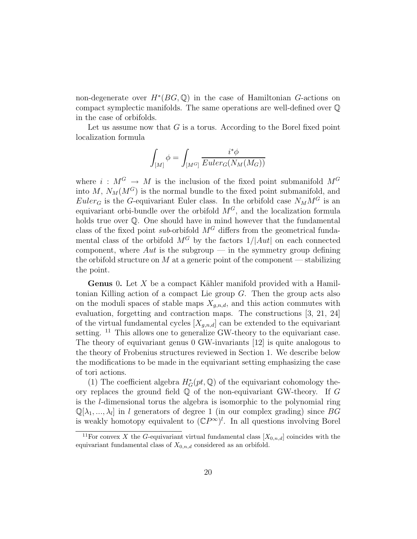non-degenerate over  $H^*(BG, \mathbb{Q})$  in the case of Hamiltonian G-actions on compact symplectic manifolds. The same operations are well-defined over Q in the case of orbifolds.

Let us assume now that  $G$  is a torus. According to the Borel fixed point localization formula

$$
\int_{[M]}\phi=\int_{[M^G]}\frac{i^*\phi}{Euler_G(N_M(M_G))}
$$

where  $i: M^G \to M$  is the inclusion of the fixed point submanifold  $M^G$ into M,  $N_M(M^G)$  is the normal bundle to the fixed point submanifold, and  $Euler_G$  is the G-equivariant Euler class. In the orbifold case  $N_M M^G$  is an equivariant orbi-bundle over the orbifold  $M<sup>G</sup>$ , and the localization formula holds true over Q. One should have in mind however that the fundamental class of the fixed point sub-orbifold  $M<sup>G</sup>$  differs from the geometrical fundamental class of the orbifold  $M<sup>G</sup>$  by the factors  $1/|Aut|$  on each connected component, where Aut is the subgroup — in the symmetry group defining the orbifold structure on  $M$  at a generic point of the component — stabilizing the point.

**Genus** 0. Let X be a compact Kähler manifold provided with a Hamiltonian Killing action of a compact Lie group  $G$ . Then the group acts also on the moduli spaces of stable maps  $X_{q,n,d}$ , and this action commutes with evaluation, forgetting and contraction maps. The constructions [3, 21, 24] of the virtual fundamental cycles  $[X_{q,n,d}]$  can be extended to the equivariant setting. <sup>11</sup> This allows one to generalize GW-theory to the equivariant case. The theory of equivariant genus 0 GW-invariants [12] is quite analogous to the theory of Frobenius structures reviewed in Section 1. We describe below the modifications to be made in the equivariant setting emphasizing the case of tori actions.

(1) The coefficient algebra  $H^*_{G}(pt, \mathbb{Q})$  of the equivariant cohomology theory replaces the ground field  $\mathbb Q$  of the non-equivariant GW-theory. If G is the l-dimensional torus the algebra is isomorphic to the polynomial ring  $\mathbb{Q}[\lambda_1, ..., \lambda_l]$  in l generators of degree 1 (in our complex grading) since BG is weakly homotopy equivalent to  $({\mathbb{C}}P^{\infty})^l$ . In all questions involving Borel

<sup>&</sup>lt;sup>11</sup>For convex X the G-equivariant virtual fundamental class  $[X_{0,n,d}]$  coincides with the equivariant fundamental class of  $X_{0,n,d}$  considered as an orbifold.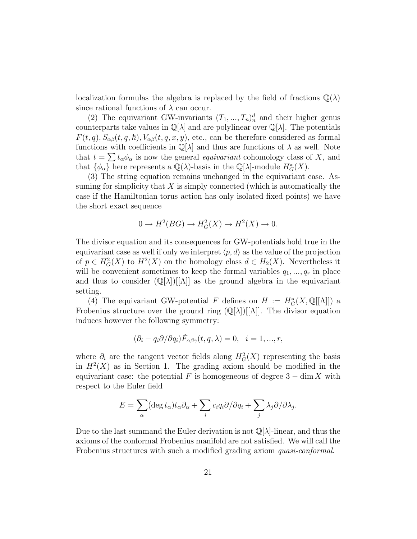localization formulas the algebra is replaced by the field of fractions  $\mathbb{Q}(\lambda)$ since rational functions of  $\lambda$  can occur.

(2) The equivariant GW-invariants  $(T_1, ..., T_n)_n^d$  and their higher genus counterparts take values in  $\mathbb{Q}[\lambda]$  and are polylinear over  $\mathbb{Q}[\lambda].$  The potentials  $F(t, q), S_{\alpha\beta}(t, q, \hbar), V_{\alpha\beta}(t, q, x, y),$  etc., can be therefore considered as formal functions with coefficients in  $\mathbb{Q}[\lambda]$  and thus are functions of  $\lambda$  as well. Note that  $t = \sum t_{\alpha} \phi_{\alpha}$  is now the general *equivariant* cohomology class of X, and that  $\{\phi_{\alpha}\}\$  here represents a  $\mathbb{Q}(\lambda)$ -basis in the  $\mathbb{Q}[\lambda]$ -module  $H^*_{G}(X)$ .

(3) The string equation remains unchanged in the equivariant case. Assuming for simplicity that  $X$  is simply connected (which is automatically the case if the Hamiltonian torus action has only isolated fixed points) we have the short exact sequence

$$
0 \to H^2(BG) \to H^2_G(X) \to H^2(X) \to 0.
$$

The divisor equation and its consequences for GW-potentials hold true in the equivariant case as well if only we interpret  $\langle p, d \rangle$  as the value of the projection of  $p \in H^2_G(X)$  to  $H^2(X)$  on the homology class  $d \in H_2(X)$ . Nevertheless it will be convenient sometimes to keep the formal variables  $q_1, ..., q_r$  in place and thus to consider  $(\mathbb{Q}[\lambda])[[\Lambda]]$  as the ground algebra in the equivariant setting.

(4) The equivariant GW-potential F defines on  $H := H^*_{G}(X, \mathbb{Q}[[\Lambda]])$  a Frobenius structure over the ground ring  $(\mathbb{Q}[\lambda])[[\Lambda]]$ . The divisor equation induces however the following symmetry:

$$
(\partial_i - q_i \partial / \partial q_i) \tilde{F}_{\alpha\beta\gamma}(t, q, \lambda) = 0, \quad i = 1, ..., r,
$$

where  $\partial_i$  are the tangent vector fields along  $H_G^2(X)$  representing the basis in  $H^2(X)$  as in Section 1. The grading axiom should be modified in the equivariant case: the potential F is homogeneous of degree  $3 - \dim X$  with respect to the Euler field

$$
E = \sum_{\alpha} (\deg t_{\alpha}) t_{\alpha} \partial_{\alpha} + \sum_{i} c_i q_i \partial / \partial q_i + \sum_{j} \lambda_j \partial / \partial \lambda_j.
$$

Due to the last summand the Euler derivation is not  $\mathbb{Q}[\lambda]$ -linear, and thus the axioms of the conformal Frobenius manifold are not satisfied. We will call the Frobenius structures with such a modified grading axiom quasi-conformal.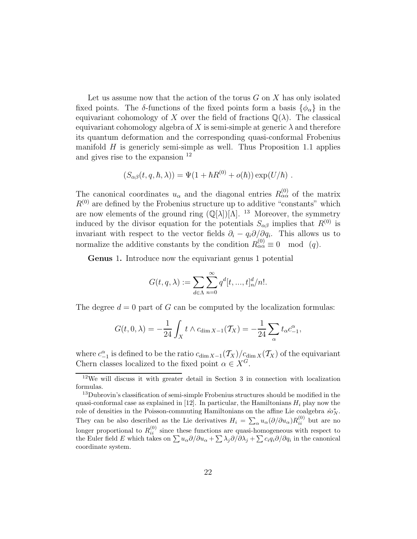Let us assume now that the action of the torus  $G$  on  $X$  has only isolated fixed points. The  $\delta$ -functions of the fixed points form a basis  $\{\phi_{\alpha}\}\$ in the equivariant cohomology of X over the field of fractions  $\mathbb{Q}(\lambda)$ . The classical equivariant cohomology algebra of X is semi-simple at generic  $\lambda$  and therefore its quantum deformation and the corresponding quasi-conformal Frobenius manifold  $H$  is genericly semi-simple as well. Thus Proposition 1.1 applies and gives rise to the expansion <sup>12</sup>

$$
(S_{\alpha\beta}(t, q, \hbar, \lambda)) = \Psi(1 + \hbar R^{(0)} + o(\hbar)) \exp(U/\hbar) .
$$

The canonical coordinates  $u_{\alpha}$  and the diagonal entries  $R_{\alpha\alpha}^{(0)}$  of the matrix  $\mathbb{R}^{(0)}$  are defined by the Frobenius structure up to additive "constants" which are now elements of the ground ring  $(\mathbb{Q}[\lambda])[ \Lambda]$ . <sup>13</sup> Moreover, the symmetry induced by the divisor equation for the potentials  $S_{\alpha\beta}$  implies that  $R^{(0)}$  is invariant with respect to the vector fields  $\partial_i - q_i \partial / \partial q_i$ . This allows us to normalize the additive constants by the condition  $R_{\alpha\alpha}^{(0)} \equiv 0 \mod (q)$ .

Genus 1. Introduce now the equivariant genus 1 potential

$$
G(t, q, \lambda) := \sum_{d \in \Lambda} \sum_{n=0}^{\infty} q^d [t, ..., t]_n^d / n!.
$$

The degree  $d = 0$  part of G can be computed by the localization formulas:

$$
G(t, 0, \lambda) = -\frac{1}{24} \int_X t \wedge c_{\dim X - 1}(\mathcal{T}_X) = -\frac{1}{24} \sum_{\alpha} t_{\alpha} c^{\alpha}_{-1},
$$

where  $c_{-1}^{\alpha}$  is defined to be the ratio  $c_{\dim X-1}(\mathcal{T}_X)/c_{\dim X}(\mathcal{T}_X)$  of the equivariant Chern classes localized to the fixed point  $\alpha \in X^G$ .

<sup>12</sup>We will discuss it with greater detail in Section 3 in connection with localization formulas.

<sup>13</sup>Dubrovin's classification of semi-simple Frobenius structures should be modified in the quasi-conformal case as explained in [12]. In particular, the Hamiltonians  $H_i$  play now the role of densities in the Poisson-commuting Hamiltonians on the affine Lie coalgebra  $\hat{so}_{N}^{*}$ . They can be also described as the Lie derivatives  $H_i = \sum_{\alpha} u_{\alpha} (\partial/\partial u_{\alpha}) R_{ii}^{(0)}$  but are no longer proportional to  $R_{ii}^{(0)}$  since these functions are quasi-homogeneous with respect to the Euler field E which takes on  $\sum u_{\alpha}\partial/\partial u_{\alpha} + \sum \lambda_j\partial/\partial \lambda_j + \sum c_i q_i \partial/\partial q_i$  in the canonical coordinate system.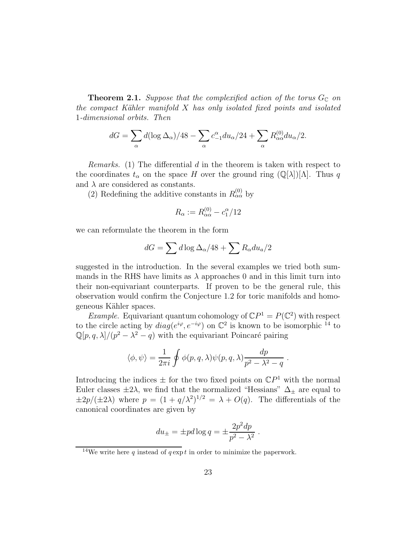**Theorem 2.1.** Suppose that the complexified action of the torus  $G_{\mathbb{C}}$  on the compact Kähler manifold  $X$  has only isolated fixed points and isolated 1-dimensional orbits. Then

$$
dG = \sum_{\alpha} d(\log \Delta_{\alpha})/48 - \sum_{\alpha} c^{\alpha}_{-1} du_{\alpha}/24 + \sum_{\alpha} R^{(0)}_{\alpha\alpha} du_{\alpha}/2.
$$

*Remarks.* (1) The differential d in the theorem is taken with respect to the coordinates  $t_{\alpha}$  on the space H over the ground ring  $(\mathbb{Q}[\lambda])[\Lambda]$ . Thus q and  $\lambda$  are considered as constants.

(2) Redefining the additive constants in  $R_{\alpha\alpha}^{(0)}$  by

$$
R_{\alpha} := R_{\alpha\alpha}^{(0)} - c_1^{\alpha}/12
$$

we can reformulate the theorem in the form

$$
dG = \sum d \log \Delta_{\alpha} / 48 + \sum R_{\alpha} du_{a} / 2
$$

suggested in the introduction. In the several examples we tried both summands in the RHS have limits as  $\lambda$  approaches 0 and in this limit turn into their non-equivariant counterparts. If proven to be the general rule, this observation would confirm the Conjecture 1.2 for toric manifolds and homogeneous Kähler spaces.

*Example.* Equivariant quantum cohomology of  $\mathbb{C}P^1 = P(\mathbb{C}^2)$  with respect to the circle acting by  $diag(e^{i\varphi}, e^{-i\varphi})$  on  $\mathbb{C}^2$  is known to be isomorphic <sup>14</sup> to  $\mathbb{Q}[p,q,\lambda]/(p^2-\lambda^2-q)$  with the equivariant Poincaré pairing

$$
\langle \phi, \psi \rangle = \frac{1}{2\pi i} \oint \phi(p, q, \lambda) \psi(p, q, \lambda) \frac{dp}{p^2 - \lambda^2 - q}.
$$

Introducing the indices  $\pm$  for the two fixed points on  $\mathbb{C}P<sup>1</sup>$  with the normal Euler classes  $\pm 2\lambda$ , we find that the normalized "Hessians"  $\Delta_{\pm}$  are equal to  $\pm 2p/(\pm 2\lambda)$  where  $p = (1 + q/\lambda^2)^{1/2} = \lambda + O(q)$ . The differentials of the canonical coordinates are given by

$$
du_{\pm} = \pm pd \log q = \pm \frac{2p^2 dp}{p^2 - \lambda^2}.
$$

<sup>&</sup>lt;sup>14</sup>We write here q instead of  $q \exp t$  in order to minimize the paperwork.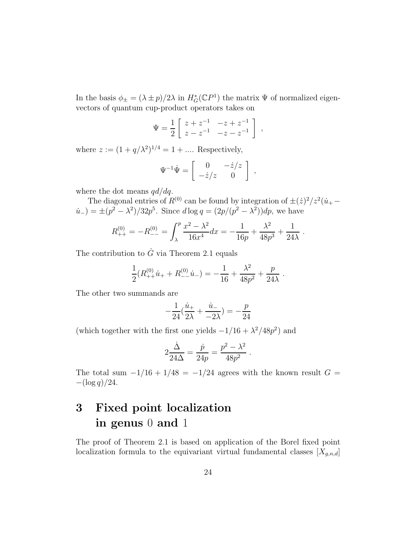In the basis  $\phi_{\pm} = (\lambda \pm p)/2\lambda$  in  $H^*_{G}(\mathbb{C}P^1)$  the matrix  $\Psi$  of normalized eigenvectors of quantum cup-product operators takes on

$$
\Psi = \frac{1}{2} \left[ \begin{array}{cc} z + z^{-1} & -z + z^{-1} \\ z - z^{-1} & -z - z^{-1} \end{array} \right] ,
$$

where  $z := (1 + q/\lambda^2)^{1/4} = 1 + ...$  Respectively,

$$
\Psi^{-1}\dot{\Psi} = \left[\begin{array}{cc} 0 & -\dot{z}/z \\ -\dot{z}/z & 0 \end{array}\right] ,
$$

where the dot means  $qd/dq$ .

The diagonal entries of  $R^{(0)}$  can be found by integration of  $\pm (z)^2/z^2(u_+ (i_{-}) = \pm (p^{2} - \lambda^{2})/32p^{5}$ . Since  $d \log q = (2p/(p^{2} - \lambda^{2}))dp$ , we have

$$
R_{++}^{(0)} = -R_{--}^{(0)} = \int_{\lambda}^{p} \frac{x^2 - \lambda^2}{16x^4} dx = -\frac{1}{16p} + \frac{\lambda^2}{48p^3} + \frac{1}{24\lambda}.
$$

The contribution to  $\dot{G}$  via Theorem 2.1 equals

$$
\frac{1}{2}(R^{(0)}_{++}\dot{u}_+ + R^{(0)}_{--}\dot{u}_-) = -\frac{1}{16} + \frac{\lambda^2}{48p^2} + \frac{p}{24\lambda}
$$

.

The other two summands are

$$
-\frac{1}{24}(\frac{\dot{u}_{+}}{2\lambda} + \frac{\dot{u}_{-}}{-2\lambda}) = -\frac{p}{24}
$$

(which together with the first one yields  $-1/16 + \lambda^2/48p^2$ ) and

$$
2\frac{\dot{\Delta}}{24\Delta} = \frac{\dot{p}}{24p} = \frac{p^2 - \lambda^2}{48p^2}.
$$

The total sum  $-1/16 + 1/48 = -1/24$  agrees with the known result  $G =$  $-(\log q)/24$ .

## 3 Fixed point localization in genus 0 and 1

The proof of Theorem 2.1 is based on application of the Borel fixed point localization formula to the equivariant virtual fundamental classes  $[X_{g,n,d}]$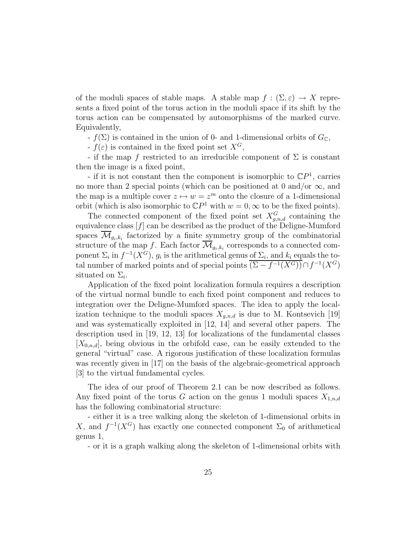of the moduli spaces of stable maps. A stable map  $f : (\Sigma, \varepsilon) \to X$  represents a fixed point of the torus action in the moduli space if its shift by the torus action can be compensated by automorphisms of the marked curve. Equivalently,

 $-f(\Sigma)$  is contained in the union of 0- and 1-dimensional orbits of  $G_{\mathbb{C}}$ ,

 $- f(\varepsilon)$  is contained in the fixed point set  $X^G$ ,

- if the map f restricted to an irreducible component of  $\Sigma$  is constant then the image is a fixed point,

- if it is not constant then the component is isomorphic to  $\mathbb{C}P^1$ , carries no more than 2 special points (which can be positioned at 0 and/or  $\infty$ , and the map is a multiple cover  $z \mapsto w = z^m$  onto the closure of a 1-dimensional orbit (which is also isomorphic to  $\mathbb{C}P^1$  with  $w = 0$ ,  $\infty$  to be the fixed points).

The connected component of the fixed point set  $X_{g,n,d}^G$  containing the equivalence class  $[f]$  can be described as the product of the Deligne-Mumford spaces  $\mathcal{M}_{g_i,k_i}$  factorized by a finite symmetry group of the combinatorial structure of the map f. Each factor  $\mathcal{M}_{g_i,k_i}$  corresponds to a connected component  $\Sigma_i$  in  $f^{-1}(X^G)$ ,  $g_i$  is the arithmetical genus of  $\Sigma_i$ , and  $k_i$  equals the total number of marked points and of special points  $(\Sigma - f^{-1}(X^G)) \cap f^{-1}(X^G)$ situated on  $\Sigma_i$ .

Application of the fixed point localization formula requires a description of the virtual normal bundle to each fixed point component and reduces to integration over the Deligne-Mumford spaces. The idea to apply the localization technique to the moduli spaces  $X_{q,n,d}$  is due to M. Kontsevich [19] and was systematically exploited in [12, 14] and several other papers. The description used in [19, 12, 13] for localizations of the fundamental classes  $[X_{0,n,d}]$ , being obvious in the orbifold case, can be easily extended to the general "virtual" case. A rigorous justification of these localization formulas was recently given in [17] on the basis of the algebraic-geometrical approach [3] to the virtual fundamental cycles.

The idea of our proof of Theorem 2.1 can be now described as follows. Any fixed point of the torus G action on the genus 1 moduli spaces  $X_{1,n,d}$ has the following combinatorial structure:

- either it is a tree walking along the skeleton of 1-dimensional orbits in X, and  $f^{-1}(X^G)$  has exactly one connected component  $\Sigma_0$  of arithmetical genus 1,

- or it is a graph walking along the skeleton of 1-dimensional orbits with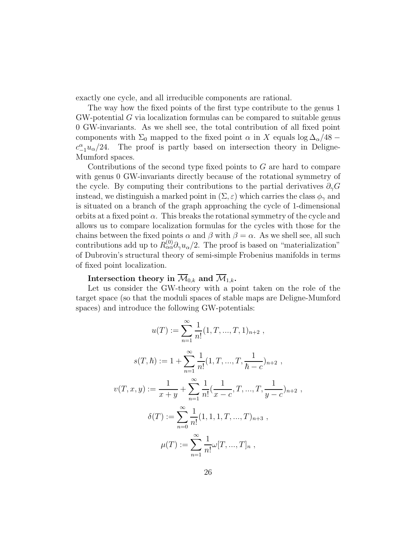exactly one cycle, and all irreducible components are rational.

The way how the fixed points of the first type contribute to the genus 1  $GW$ -potential  $G$  via localization formulas can be compared to suitable genus 0 GW-invariants. As we shell see, the total contribution of all fixed point components with  $\Sigma_0$  mapped to the fixed point  $\alpha$  in X equals log  $\Delta_{\alpha}/48$  –  $c_{-1}^{\alpha}u_{\alpha}/24$ . The proof is partly based on intersection theory in Deligne-Mumford spaces.

Contributions of the second type fixed points to G are hard to compare with genus 0 GW-invariants directly because of the rotational symmetry of the cycle. By computing their contributions to the partial derivatives  $\partial_{\gamma}G$ instead, we distinguish a marked point in  $(\Sigma, \varepsilon)$  which carries the class  $\phi_{\gamma}$  and is situated on a branch of the graph approaching the cycle of 1-dimensional orbits at a fixed point  $\alpha$ . This breaks the rotational symmetry of the cycle and allows us to compare localization formulas for the cycles with those for the chains between the fixed points  $\alpha$  and  $\beta$  with  $\beta = \alpha$ . As we shell see, all such contributions add up to  $R^{(0)}_{\alpha\alpha}\partial_\gamma u_\alpha/2$ . The proof is based on "materialization" of Dubrovin's structural theory of semi-simple Frobenius manifolds in terms of fixed point localization.

Intersection theory in  $\overline{\mathcal{M}}_{0,k}$  and  $\overline{\mathcal{M}}_{1,k}$ .

Let us consider the GW-theory with a point taken on the role of the target space (so that the moduli spaces of stable maps are Deligne-Mumford spaces) and introduce the following GW-potentials:

$$
u(T) := \sum_{n=1}^{\infty} \frac{1}{n!} (1, T, ..., T, 1)_{n+2},
$$
  

$$
s(T, \hbar) := 1 + \sum_{n=1}^{\infty} \frac{1}{n!} (1, T, ..., T, \frac{1}{\hbar - c})_{n+2},
$$
  

$$
v(T, x, y) := \frac{1}{x + y} + \sum_{n=1}^{\infty} \frac{1}{n!} (\frac{1}{x - c}, T, ..., T, \frac{1}{y - c})_{n+2},
$$
  

$$
\delta(T) := \sum_{n=0}^{\infty} \frac{1}{n!} (1, 1, 1, T, ..., T)_{n+3},
$$
  

$$
\mu(T) := \sum_{n=1}^{\infty} \frac{1}{n!} \omega[T, ..., T]_n,
$$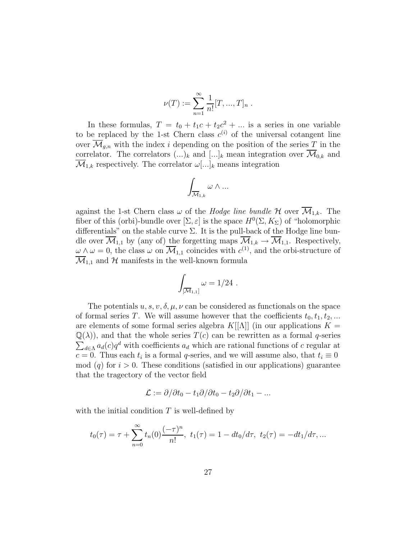$$
\nu(T) := \sum_{n=1}^{\infty} \frac{1}{n!} [T, ..., T]_n .
$$

In these formulas,  $T = t_0 + t_1c + t_2c^2 + ...$  is a series in one variable to be replaced by the 1-st Chern class  $c^{(i)}$  of the universal cotangent line over  $\overline{\mathcal{M}}_{g,n}$  with the index i depending on the position of the series T in the correlator. The correlators  $(...)_k$  and  $[...]_k$  mean integration over  $\mathcal{M}_{0,k}$  and  $\mathcal{M}_{1,k}$  respectively. The correlator  $\omega[\ldots]_k$  means integration

$$
\int_{\overline{\mathcal{M}}_{1,k}} \omega \wedge \dots
$$

against the 1-st Chern class  $\omega$  of the Hodge line bundle H over  $\overline{\mathcal{M}}_{1,k}$ . The fiber of this (orbi)-bundle over  $[\Sigma, \varepsilon]$  is the space  $H^0(\Sigma, K_{\Sigma})$  of "holomorphic differentials" on the stable curve  $\Sigma$ . It is the pull-back of the Hodge line bundle over  $\overline{\mathcal{M}}_{1,1}$  by (any of) the forgetting maps  $\overline{\mathcal{M}}_{1,k} \to \overline{\mathcal{M}}_{1,1}$ . Respectively,  $\omega \wedge \omega = 0$ , the class  $\omega$  on  $\overline{\mathcal{M}}_{1,1}$  coincides with  $c^{(1)}$ , and the orbi-structure of  $\mathcal{M}_{1,1}$  and  $\mathcal{H}$  manifests in the well-known formula

$$
\int_{[\overline{\mathcal{M}}_{1,1}]} \omega = 1/24.
$$

The potentials  $u, s, v, \delta, \mu, \nu$  can be considered as functionals on the space of formal series T. We will assume however that the coefficients  $t_0, t_1, t_2, \ldots$ are elements of some formal series algebra  $K[[\Lambda]]$  (in our applications  $K =$  $\mathbb{Q}(\lambda)$ , and that the whole series  $T(c)$  can be rewritten as a formal q-series  $\sum_{d \in \Lambda} a_d(c) q^d$  with coefficients  $a_d$  which are rational functions of c regular at  $c = 0$ . Thus each  $t_i$  is a formal q-series, and we will assume also, that  $t_i \equiv 0$ mod  $(q)$  for  $i > 0$ . These conditions (satisfied in our applications) guarantee that the tragectory of the vector field

$$
\mathcal{L} := \partial/\partial t_0 - t_1 \partial/\partial t_0 - t_2 \partial/\partial t_1 - \dots
$$

with the initial condition  $T$  is well-defined by

$$
t_0(\tau) = \tau + \sum_{n=0}^{\infty} t_n(0) \frac{(-\tau)^n}{n!}, t_1(\tau) = 1 - dt_0/d\tau, t_2(\tau) = -dt_1/d\tau, ...
$$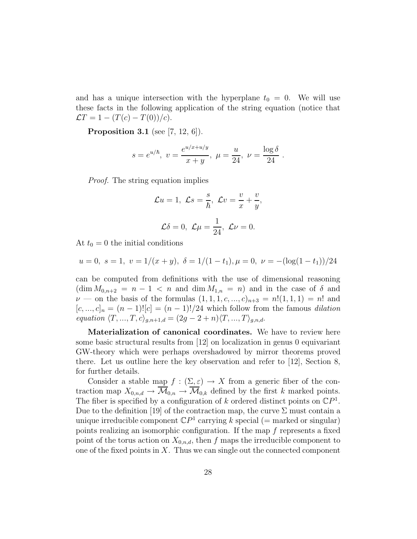and has a unique intersection with the hyperplane  $t_0 = 0$ . We will use these facts in the following application of the string equation (notice that  $\mathcal{L}T = 1 - (T(c) - T(0))/c$ .

**Proposition 3.1** (see [7, 12, 6]).

$$
s = e^{u/\hbar}
$$
,  $v = \frac{e^{u/x + u/y}}{x + y}$ ,  $\mu = \frac{u}{24}$ ,  $\nu = \frac{\log \delta}{24}$ 

.

*Proof.* The string equation implies

$$
\mathcal{L}u = 1, \ \mathcal{L}s = \frac{s}{\hbar}, \ \mathcal{L}v = \frac{v}{x} + \frac{v}{y},
$$

$$
\mathcal{L}\delta = 0, \ \mathcal{L}\mu = \frac{1}{24}, \ \mathcal{L}\nu = 0.
$$

At  $t_0 = 0$  the initial conditions

$$
u = 0
$$
,  $s = 1$ ,  $v = 1/(x + y)$ ,  $\delta = 1/(1 - t_1)$ ,  $\mu = 0$ ,  $\nu = -(\log(1 - t_1))/24$ 

can be computed from definitions with the use of dimensional reasoning  $(\dim M_{0,n+2} = n-1 < n$  and  $\dim M_{1,n} = n)$  and in the case of  $\delta$  and  $\nu$  — on the basis of the formulas  $(1, 1, 1, c, ..., c)_{n+3} = n!(1, 1, 1) = n!$  and  $[c, ..., c]_n = (n-1)![c] = (n-1)!/24$  which follow from the famous dilation equation  $\langle T, ..., T, c \rangle_{g,n+1,d} = (2g - 2 + n)\langle T, ..., T \rangle_{g,n,d}.$ 

Materialization of canonical coordinates. We have to review here some basic structural results from [12] on localization in genus 0 equivariant GW-theory which were perhaps overshadowed by mirror theorems proved there. Let us outline here the key observation and refer to [12], Section 8, for further details.

Consider a stable map  $f : (\Sigma, \varepsilon) \to X$  from a generic fiber of the contraction map  $X_{0,n,d} \to \overline{\mathcal{M}}_{0,n} \to \overline{\mathcal{M}}_{0,k}$  defined by the first k marked points. The fiber is specified by a configuration of k ordered distinct points on  $\mathbb{C}P^1$ . Due to the definition [19] of the contraction map, the curve  $\Sigma$  must contain a unique irreducible component  $\mathbb{C}P^1$  carrying k special (= marked or singular) points realizing an isomorphic configuration. If the map f represents a fixed point of the torus action on  $X_{0,n,d}$ , then f maps the irreducible component to one of the fixed points in  $X$ . Thus we can single out the connected component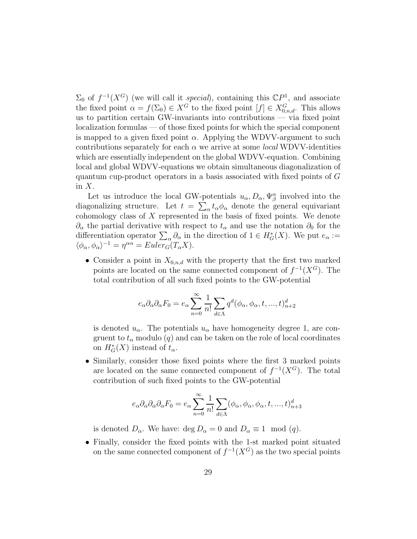$\Sigma_0$  of  $f^{-1}(X^G)$  (we will call it special), containing this  $\mathbb{C}P^1$ , and associate the fixed point  $\alpha = f(\Sigma_0) \in X^G$  to the fixed point  $[f] \in X_{0,n,d}^G$ . This allows us to partition certain GW-invariants into contributions — via fixed point localization formulas — of those fixed points for which the special component is mapped to a given fixed point  $\alpha$ . Applying the WDVV-argument to such contributions separately for each  $\alpha$  we arrive at some *local* WDVV-identities which are essentially independent on the global WDVV-equation. Combining local and global WDVV-equations we obtain simultaneous diagonalization of quantum cup-product operators in a basis associated with fixed points of G in  $X$ .

Let us introduce the local GW-potentials  $u_{\alpha}, D_{\alpha}, \Psi_{\beta}^{\alpha}$  involved into the diagonalizing structure. Let  $t = \sum_{\alpha} t_{\alpha} \phi_{\alpha}$  denote the general equivariant cohomology class of X represented in the basis of fixed points. We denote  $\partial_{\alpha}$  the partial derivative with respect to  $t_{\alpha}$  and use the notation  $\partial_{0}$  for the differentiation operator  $\sum_{\alpha} \partial_{\alpha}$  in the direction of  $1 \in H^*_{G}(X)$ . We put  $e_{\alpha} :=$  $\langle \phi_\alpha, \phi_\alpha \rangle^{-1} = \eta^{\alpha \alpha} = Euler_G(T_\alpha X).$ 

• Consider a point in  $X_{0,n,d}$  with the property that the first two marked points are located on the same connected component of  $f^{-1}(X^G)$ . The total contribution of all such fixed points to the GW-potential

$$
e_{\alpha}\partial_{\alpha}\partial_{\alpha}F_0 = e_{\alpha}\sum_{n=0}^{\infty}\frac{1}{n!}\sum_{d\in\Lambda}q^d(\phi_{\alpha}, \phi_{\alpha}, t, ..., t)_{n+2}^d
$$

is denoted  $u_{\alpha}$ . The potentials  $u_{\alpha}$  have homogeneity degree 1, are congruent to  $t_{\alpha}$  modulo  $(q)$  and can be taken on the role of local coordinates on  $H^*_{G}(X)$  instead of  $t_{\alpha}$ .

• Similarly, consider those fixed points where the first 3 marked points are located on the same connected component of  $f^{-1}(X^G)$ . The total contribution of such fixed points to the GW-potential

$$
e_{\alpha}\partial_{\alpha}\partial_{\alpha}\partial_{\alpha}F_0 = e_{\alpha}\sum_{n=0}^{\infty}\frac{1}{n!}\sum_{d\in\Lambda}(\phi_{\alpha},\phi_{\alpha},\phi_{\alpha},t,...,t)^d_{n+3}
$$

is denoted  $D_{\alpha}$ . We have: deg  $D_{\alpha} = 0$  and  $D_{\alpha} \equiv 1 \mod (q)$ .

• Finally, consider the fixed points with the 1-st marked point situated on the same connected component of  $f^{-1}(X^G)$  as the two special points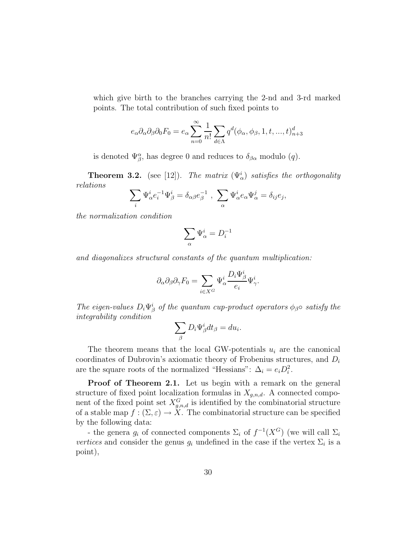which give birth to the branches carrying the 2-nd and 3-rd marked points. The total contribution of such fixed points to

$$
e_{\alpha}\partial_{\alpha}\partial_{\beta}\partial_{0}F_{0} = e_{\alpha}\sum_{n=0}^{\infty}\frac{1}{n!}\sum_{d\in\Lambda}q^{d}(\phi_{\alpha},\phi_{\beta},1,t,...,t)_{n+3}^{d}
$$

is denoted  $\Psi^{\alpha}_{\beta}$ , has degree 0 and reduces to  $\delta_{\beta\alpha}$  modulo  $(q)$ .

**Theorem 3.2.** (see [12]). The matrix  $(\Psi^i_{\alpha})$  satisfies the orthogonality relations

$$
\sum_i \Psi_\alpha^i e_i^{-1} \Psi_\beta^i = \delta_{\alpha\beta} e_\beta^{-1} , \sum_\alpha \Psi_\alpha^i e_\alpha \Psi_\alpha^j = \delta_{ij} e_j,
$$

the normalization condition

$$
\sum_{\alpha} \Psi_{\alpha}^i = D_i^{-1}
$$

and diagonalizes structural constants of the quantum multiplication:

$$
\partial_{\alpha}\partial_{\beta}\partial_{\gamma}F_0 = \sum_{i \in X^G} \Psi_{\alpha}^i \frac{D_i \Psi_{\beta}^i}{e_i} \Psi_{\gamma}^i.
$$

The eigen-values  $D_i\Psi^i_\beta$  of the quantum cup-product operators  $\phi_{\beta} \circ$  satisfy the integrability condition

$$
\sum_{\beta} D_i \Psi_{\beta}^i dt_{\beta} = du_i.
$$

The theorem means that the local GW-potentials  $u_i$  are the canonical coordinates of Dubrovin's axiomatic theory of Frobenius structures, and  $D_i$ are the square roots of the normalized "Hessians":  $\Delta_i = e_i D_i^2$ .

Proof of Theorem 2.1. Let us begin with a remark on the general structure of fixed point localization formulas in  $X_{g,n,d}$ . A connected component of the fixed point set  $X_{g,n,d}^G$  is identified by the combinatorial structure of a stable map  $f : (\Sigma, \varepsilon) \to X$ . The combinatorial structure can be specified by the following data:

- the genera  $g_i$  of connected components  $\Sigma_i$  of  $f^{-1}(X^G)$  (we will call  $\Sigma_i$ vertices and consider the genus  $g_i$  undefined in the case if the vertex  $\Sigma_i$  is a point),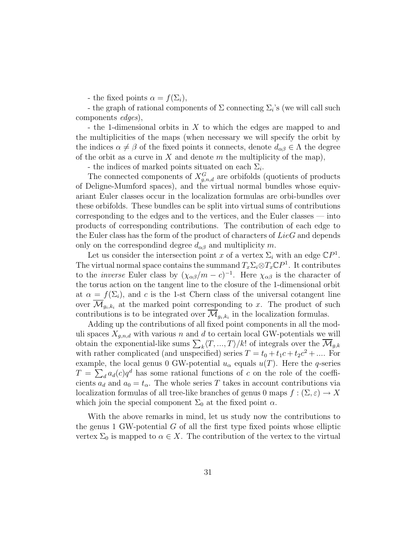- the fixed points  $\alpha = f(\Sigma_i)$ ,

- the graph of rational components of  $\Sigma$  connecting  $\Sigma_i$ 's (we will call such components edges),

- the 1-dimensional orbits in X to which the edges are mapped to and the multiplicities of the maps (when necessary we will specify the orbit by the indices  $\alpha \neq \beta$  of the fixed points it connects, denote  $d_{\alpha\beta} \in \Lambda$  the degree of the orbit as a curve in X and denote m the multiplicity of the map),

- the indices of marked points situated on each  $\Sigma_i$ .

The connected components of  $X_{g,n,d}^G$  are orbifolds (quotients of products of Deligne-Mumford spaces), and the virtual normal bundles whose equivariant Euler classes occur in the localization formulas are orbi-bundles over these orbifolds. These bundles can be split into virtual sums of contributions corresponding to the edges and to the vertices, and the Euler classes — into products of corresponding contributions. The contribution of each edge to the Euler class has the form of the product of characters of LieG and depends only on the correspondind degree  $d_{\alpha\beta}$  and multiplicity m.

Let us consider the intersection point x of a vertex  $\Sigma_i$  with an edge  $\mathbb{C}P^1$ . The virtual normal space contains the summand  $T_x \Sigma_i \otimes T_x \mathbb{C}P^1$ . It contributes to the *inverse* Euler class by  $(\chi_{\alpha\beta}/m - c)^{-1}$ . Here  $\chi_{\alpha\beta}$  is the character of the torus action on the tangent line to the closure of the 1-dimensional orbit at  $\alpha = f(\Sigma_i)$ , and c is the 1-st Chern class of the universal cotangent line over  $\overline{\mathcal{M}}_{g_i,k_i}$  at the marked point corresponding to x. The product of such contributions is to be integrated over  $\mathcal{M}_{g_i,k_i}$  in the localization formulas.

Adding up the contributions of all fixed point components in all the moduli spaces  $X_{q,n,d}$  with various n and d to certain local GW-potentials we will obtain the exponential-like sums  $\sum_{k} \langle T, ..., T \rangle / k!$  of integrals over the  $\mathcal{M}_{g,k}$ with rather complicated (and unspecified) series  $T = t_0 + t_1c + t_2c^2 + ...$  For example, the local genus 0 GW-potential  $u_{\alpha}$  equals  $u(T)$ . Here the q-series  $T = \sum_{d} a_d(c)q^d$  has some rational functions of c on the role of the coefficients  $a_d$  and  $a_0 = t_\alpha$ . The whole series T takes in account contributions via localization formulas of all tree-like branches of genus 0 maps  $f : (\Sigma, \varepsilon) \to X$ which join the special component  $\Sigma_0$  at the fixed point  $\alpha$ .

With the above remarks in mind, let us study now the contributions to the genus 1 GW-potential  $G$  of all the first type fixed points whose elliptic vertex  $\Sigma_0$  is mapped to  $\alpha \in X$ . The contribution of the vertex to the virtual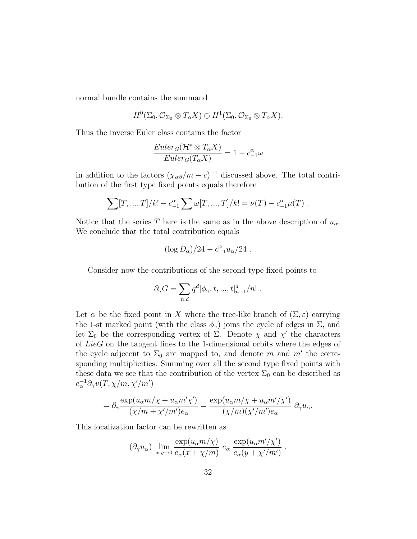normal bundle contains the summand

$$
H^0(\Sigma_0, \mathcal{O}_{\Sigma_0} \otimes T_{\alpha}X) \ominus H^1(\Sigma_0, \mathcal{O}_{\Sigma_0} \otimes T_{\alpha}X).
$$

Thus the inverse Euler class contains the factor

$$
\frac{Euler_G(\mathcal{H}^* \otimes T_\alpha X)}{Euler_G(T_\alpha X)} = 1 - c_{-1}^{\alpha} \omega
$$

in addition to the factors  $(\chi_{\alpha\beta}/m-c)^{-1}$  discussed above. The total contribution of the first type fixed points equals therefore

$$
\sum [T, ..., T] / k! - c_{-1}^{\alpha} \sum \omega[T, ..., T] / k! = \nu(T) - c_{-1}^{\alpha} \mu(T) .
$$

Notice that the series T here is the same as in the above description of  $u_{\alpha}$ . We conclude that the total contribution equals

$$
(\log D_{\alpha})/24 - c_{-1}^{\alpha}u_{\alpha}/24.
$$

Consider now the contributions of the second type fixed points to

$$
\partial_{\gamma} G = \sum_{n,d} q^d [\phi_{\gamma}, t, ..., t]_{n+1}^d / n! .
$$

Let  $\alpha$  be the fixed point in X where the tree-like branch of  $(\Sigma, \varepsilon)$  carrying the 1-st marked point (with the class  $\phi_{\gamma}$ ) joins the cycle of edges in  $\Sigma$ , and let  $\Sigma_0$  be the corresponding vertex of  $\Sigma$ . Denote  $\chi$  and  $\chi'$  the characters of LieG on the tangent lines to the 1-dimensional orbits where the edges of the cycle adjecent to  $\Sigma_0$  are mapped to, and denote m and m' the corresponding multiplicities. Summing over all the second type fixed points with these data we see that the contribution of the vertex  $\Sigma_0$  can be described as  $e^{-1}_{\alpha} \partial_{\gamma} v(T, \chi/m, \chi'/m')$ 

$$
= \partial_{\gamma} \frac{\exp(u_{\alpha}m/\chi + u_{\alpha}m'\chi')}{(\chi/m + \chi'/m')e_{\alpha}} = \frac{\exp(u_{\alpha}m/\chi + u_{\alpha}m'/\chi')}{(\chi/m)(\chi'/m')e_{\alpha}} \partial_{\gamma}u_{\alpha}.
$$

This localization factor can be rewritten as

$$
(\partial_\gamma u_\alpha) \ \lim_{x,y\to 0} \frac{\exp(u_\alpha m/\chi)}{e_\alpha(x+\chi/m)} \ e_\alpha \ \frac{\exp(u_\alpha m'/\chi')}{e_\alpha(y+\chi'/m')}
$$

.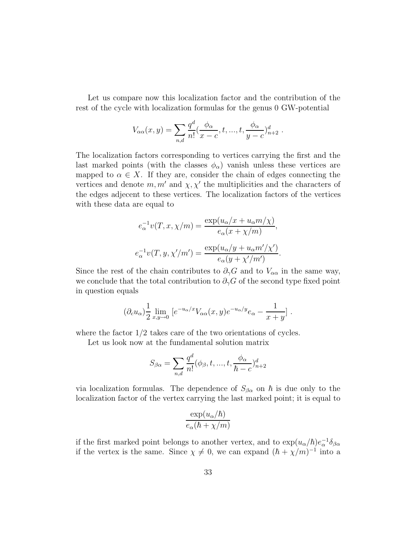Let us compare now this localization factor and the contribution of the rest of the cycle with localization formulas for the genus 0 GW-potential

$$
V_{\alpha\alpha}(x,y) = \sum_{n,d} \frac{q^d}{n!} (\frac{\phi_{\alpha}}{x-c}, t, ..., t, \frac{\phi_{\alpha}}{y-c})_{n+2}^d.
$$

The localization factors corresponding to vertices carrying the first and the last marked points (with the classes  $\phi_{\alpha}$ ) vanish unless these vertices are mapped to  $\alpha \in X$ . If they are, consider the chain of edges connecting the vertices and denote  $m, m'$  and  $\chi, \chi'$  the multiplicities and the characters of the edges adjecent to these vertices. The localization factors of the vertices with these data are equal to

$$
e_{\alpha}^{-1}v(T, x, \chi/m) = \frac{\exp(u_{\alpha}/x + u_{\alpha}m/\chi)}{e_{\alpha}(x + \chi/m)},
$$
  

$$
e_{\alpha}^{-1}v(T, y, \chi'/m') = \frac{\exp(u_{\alpha}/y + u_{\alpha}m'/\chi')}{e_{\alpha}(y + \chi'/m')}.
$$

Since the rest of the chain contributes to  $\partial_{\gamma}G$  and to  $V_{\alpha\alpha}$  in the same way, we conclude that the total contribution to  $\partial_{\gamma}G$  of the second type fixed point in question equals

$$
(\partial_c u_\alpha) \frac{1}{2} \lim_{x,y \to 0} \left[ e^{-u_\alpha/x} V_{\alpha\alpha}(x,y) e^{-u_\alpha/y} e_\alpha - \frac{1}{x+y} \right].
$$

where the factor  $1/2$  takes care of the two orientations of cycles.

Let us look now at the fundamental solution matrix

$$
S_{\beta\alpha} = \sum_{n,d} \frac{q^d}{n!} (\phi_{\beta}, t, ..., t, \frac{\phi_{\alpha}}{\hbar - c})_{n+2}^d
$$

via localization formulas. The dependence of  $S_{\beta\alpha}$  on  $\hbar$  is due only to the localization factor of the vertex carrying the last marked point; it is equal to

$$
\frac{\exp(u_{\alpha}/\hbar)}{e_{\alpha}(\hbar + \chi/m)}
$$

if the first marked point belongs to another vertex, and to  $\exp(u_{\alpha}/\hbar)e_{\alpha}^{-1}\delta_{\beta\alpha}$ if the vertex is the same. Since  $\chi \neq 0$ , we can expand  $(\hbar + \chi/m)^{-1}$  into a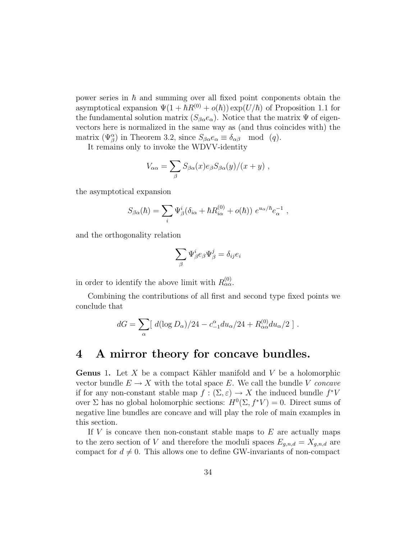power series in  $\hbar$  and summing over all fixed point conponents obtain the asymptotical expansion  $\Psi(1 + \hbar R^{(0)} + o(\hbar)) \exp(U/\hbar)$  of Proposition 1.1 for the fundamental solution matrix  $(S_{\beta\alpha}e_{\alpha})$ . Notice that the matrix  $\Psi$  of eigenvectors here is normalized in the same way as (and thus coincides with) the matrix  $(\Psi_{\beta}^{\alpha})$  in Theorem 3.2, since  $S_{\beta\alpha}e_{\alpha} \equiv \delta_{\alpha\beta} \mod (q)$ .

It remains only to invoke the WDVV-identity

$$
V_{\alpha\alpha} = \sum_{\beta} S_{\beta\alpha}(x) e_{\beta} S_{\beta\alpha}(y)/(x+y) ,
$$

the asymptotical expansion

$$
S_{\beta\alpha}(\hbar) = \sum_i \Psi_{\beta}^i(\delta_{i\alpha} + \hbar R_{i\alpha}^{(0)} + o(\hbar)) e^{u_{\alpha}/\hbar} e_{\alpha}^{-1} ,
$$

and the orthogonality relation

$$
\sum_{\beta} \Psi_{\beta}^{i} e_{\beta} \Psi_{\beta}^{j} = \delta_{ij} e_{i}
$$

in order to identify the above limit with  $R^{(0)}_{\alpha\alpha}$ .

Combining the contributions of all first and second type fixed points we conclude that

$$
dG = \sum_{\alpha} [d(\log D_{\alpha})/24 - c^{\alpha}_{-1} du_{\alpha}/24 + R^{(0)}_{\alpha\alpha} du_{\alpha}/2].
$$

### 4 A mirror theory for concave bundles.

**Genus** 1. Let X be a compact Kähler manifold and V be a holomorphic vector bundle  $E \to X$  with the total space E. We call the bundle V concave if for any non-constant stable map  $f : (\Sigma, \varepsilon) \to X$  the induced bundle  $f^*V$ over  $\Sigma$  has no global holomorphic sections:  $H^0(\Sigma, f^*V) = 0$ . Direct sums of negative line bundles are concave and will play the role of main examples in this section.

If  $V$  is concave then non-constant stable maps to  $E$  are actually maps to the zero section of V and therefore the moduli spaces  $E_{g,n,d} = X_{g,n,d}$  are compact for  $d \neq 0$ . This allows one to define GW-invariants of non-compact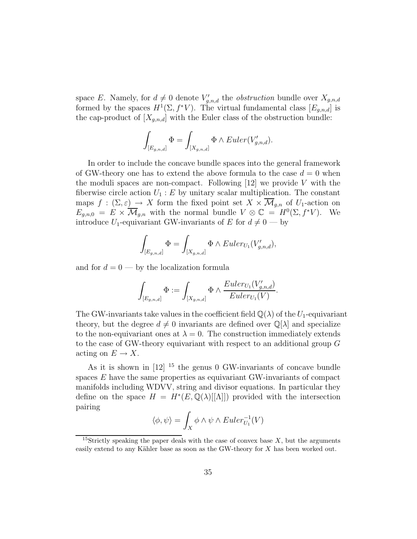space E. Namely, for  $d \neq 0$  denote  $V'_{g,n,d}$  the *obstruction* bundle over  $X_{g,n,d}$ formed by the spaces  $H^1(\Sigma, f^*V)$ . The virtual fundamental class  $[E_{g,n,d}]$  is the cap-product of  $[X_{g,n,d}]$  with the Euler class of the obstruction bundle:

$$
\int_{[E_{g,n,d}]} \Phi = \int_{[X_{g,n,d}]} \Phi \wedge Euler(V'_{g,n,d}).
$$

In order to include the concave bundle spaces into the general framework of GW-theory one has to extend the above formula to the case  $d = 0$  when the moduli spaces are non-compact. Following  $[12]$  we provide V with the fiberwise circle action  $U_1 : E$  by unitary scalar multiplication. The constant maps  $f : (\Sigma, \varepsilon) \to X$  form the fixed point set  $X \times \overline{\mathcal{M}}_{q,n}$  of  $U_1$ -action on  $E_{g,n,0} = E \times \overline{\mathcal{M}}_{g,n}$  with the normal bundle  $V \otimes \mathbb{C} = H^0(\Sigma, f^*V)$ . We introduce  $U_1$ -equivariant GW-invariants of  $E$  for  $d \neq 0$  — by

$$
\int_{[E_{g,n,d}]} \Phi = \int_{[X_{g,n,d}]} \Phi \wedge Euler_{U_1}(V'_{g,n,d}),
$$

and for  $d = 0$  — by the localization formula

$$
\int_{[E_{g,n,d}]} \Phi := \int_{[X_{g,n,d}]} \Phi \wedge \frac{Euler_{U_1}(V'_{g,n,d})}{Euler_{U_1}(V)}.
$$

The GW-invariants take values in the coefficient field  $\mathbb{Q}(\lambda)$  of the  $U_1$ -equivariant theory, but the degree  $d \neq 0$  invariants are defined over  $\mathbb{Q}[\lambda]$  and specialize to the non-equivariant ones at  $\lambda = 0$ . The construction immediately extends to the case of GW-theory equivariant with respect to an additional group G acting on  $E \to X$ .

As it is shown in  $[12]$  <sup>15</sup> the genus 0 GW-invariants of concave bundle spaces  $E$  have the same properties as equivariant GW-invariants of compact manifolds including WDVV, string and divisor equations. In particular they define on the space  $H = H^*(E, \mathbb{Q}(\lambda)[[\Lambda]])$  provided with the intersection pairing

$$
\langle \phi, \psi \rangle = \int_X \phi \wedge \psi \wedge Euler_{U_1}^{-1}(V)
$$

<sup>&</sup>lt;sup>15</sup>Strictly speaking the paper deals with the case of convex base  $X$ , but the arguments easily extend to any Kähler base as soon as the GW-theory for  $X$  has been worked out.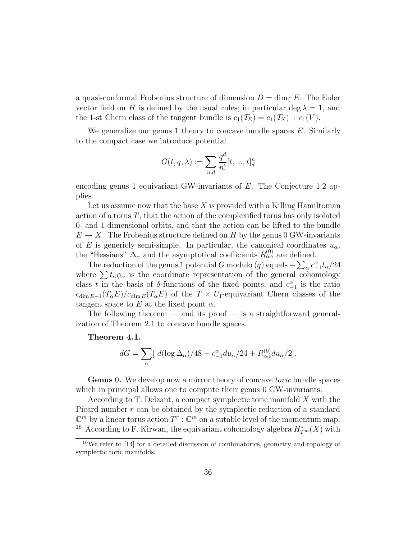a quasi-conformal Frobenius structure of dimension  $D = \dim_{\mathbb{C}} E$ . The Euler vector field on H is defined by the usual rules; in particular deg  $\lambda = 1$ , and the 1-st Chern class of the tangent bundle is  $c_1(\mathcal{T}_E) = c_1(\mathcal{T}_X) + c_1(V)$ .

We generalize our genus 1 theory to concave bundle spaces  $E$ . Similarly to the compact case we introduce potential

$$
G(t, q, \lambda) := \sum_{n,d} \frac{q^d}{n!} [t, ..., t]_d^n
$$

encoding genus 1 equivariant GW-invariants of E. The Conjecture 1.2 applies.

Let us assume now that the base  $X$  is provided with a Killing Hamiltonian action of a torus  $T$ , that the action of the complexified torus has only isolated 0- and 1-dimensional orbits, and that the action can be lifted to the bundle  $E \to X$ . The Frobenius structure defined on H by the genus 0 GW-invariants of E is genericly semi-simple. In particular, the canonical coordinates  $u_{\alpha}$ , the "Hessians"  $\Delta_{\alpha}$  and the asymptotical coefficients  $R_{\alpha\alpha}^{(0)}$  are defined.

The reduction of the genus 1 potential G modulo (q) equals  $-\sum_{\alpha} c^{\alpha}_{-1} t_{\alpha}/24$ where  $\sum t_{\alpha}\phi_{\alpha}$  is the coordinate representation of the general cohomology class t in the basis of  $\delta$ -functions of the fixed points, and  $c_{-1}^{\alpha}$  is the ratio  $c_{\dim E-1}(T_{\alpha}E)/c_{\dim E}(T_{\alpha}E)$  of the  $T \times U_1$ -equivariant Chern classes of the tangent space to E at the fixed point  $\alpha$ .

The following theorem  $-$  and its proof  $-$  is a straightforward generalization of Theorem 2.1 to concave bundle spaces.

#### Theorem 4.1.

$$
dG = \sum_{\alpha} [d(\log \Delta_{\alpha})/48 - c_{-1}^{\alpha} du_{\alpha}/24 + R_{\alpha\alpha}^{(0)} du_{\alpha}/2].
$$

Genus 0. We develop now a mirror theory of concave *toric* bundle spaces which in principal allows one to compute their genus 0 GW-invariants.

According to T. Delzant, a compact symplectic toric manifold X with the Picard number r can be obtained by the symplectic reduction of a standard  $\mathbb{C}^m$  by a linear torus action  $T^r : \mathbb{C}^m$  on a sutable level of the momentum map. <sup>16</sup> According to F. Kirwan, the equivariant cohomology algebra  $H^*_{T^m}(X)$  with

<sup>16</sup>We refer to [14] for a detailed discussion of combinatorics, geometry and topology of symplectic toric manifolds.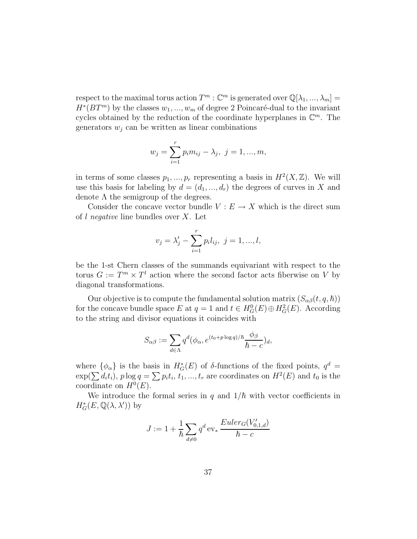respect to the maximal torus action  $T^m$  :  $\mathbb{C}^m$  is generated over  $\mathbb{Q}[\lambda_1, ..., \lambda_m] =$  $H^*(BT^m)$  by the classes  $w_1, ..., w_m$  of degree 2 Poincaré-dual to the invariant cycles obtained by the reduction of the coordinate hyperplanes in  $\mathbb{C}^m$ . The generators  $w_i$  can be written as linear combinations

$$
w_j = \sum_{i=1}^r p_i m_{ij} - \lambda_j, \ j = 1, ..., m,
$$

in terms of some classes  $p_1, ..., p_r$  representing a basis in  $H^2(X, \mathbb{Z})$ . We will use this basis for labeling by  $d = (d_1, ..., d_r)$  the degrees of curves in X and denote  $\Lambda$  the semigroup of the degrees.

Consider the concave vector bundle  $V : E \to X$  which is the direct sum of l negative line bundles over  $X$ . Let

$$
v_j = \lambda'_j - \sum_{i=1}^r p_i l_{ij}, \ j = 1, ..., l,
$$

be the 1-st Chern classes of the summands equivariant with respect to the torus  $G := T^m \times T^l$  action where the second factor acts fiberwise on V by diagonal transformations.

Our objective is to compute the fundamental solution matrix  $(S_{\alpha\beta}(t, q, \hbar))$ for the concave bundle space E at  $q = 1$  and  $t \in H_G^0(E) \oplus H_G^2(E)$ . According to the string and divisor equations it coincides with

$$
S_{\alpha\beta} := \sum_{d \in \Lambda} q^d (\phi_{\alpha}, e^{(t_0 + p \log q)/\hbar} \frac{\phi_{\beta}}{\hbar - c})_d,
$$

where  $\{\phi_{\alpha}\}\$ is the basis in  $H^*_{G}(E)$  of  $\delta$ -functions of the fixed points,  $q^d =$  $\exp(\sum d_i t_i)$ ,  $p \log q = \sum p_i t_i, t_1, ..., t_r$  are coordinates on  $H^2(E)$  and  $t_0$  is the coordinate on  $H^0(E)$ .

We introduce the formal series in q and  $1/\hbar$  with vector coefficients in  $H^*_G(E, \mathbb{Q}(\lambda, \lambda'))$  by

$$
J:=1+\frac{1}{\hbar}\sum_{d\neq 0}q^d\operatorname{ev}_*\frac{Euler_G(V'_{0,1,d})}{\hbar-c}
$$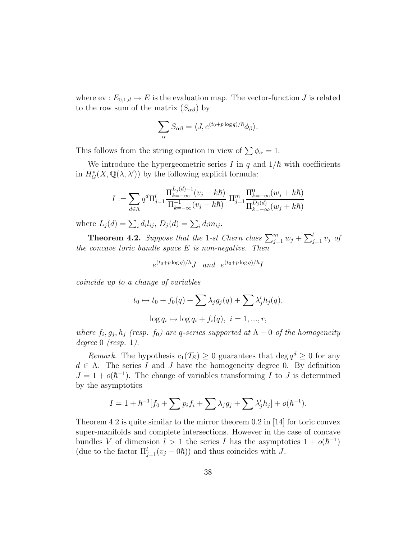where ev :  $E_{0,1,d} \to E$  is the evaluation map. The vector-function J is related to the row sum of the matrix  $(S_{\alpha\beta})$  by

$$
\sum_{\alpha} S_{\alpha\beta} = \langle J, e^{(t_0 + p \log q)/\hbar} \phi_{\beta} \rangle.
$$

This follows from the string equation in view of  $\sum \phi_{\alpha} = 1$ .

We introduce the hypergeometric series I in q and  $1/\hbar$  with coefficients in  $H^*_{\mathcal{G}}(X,\mathbb{Q}(\lambda,\lambda'))$  by the following explicit formula:

$$
I := \sum_{d \in \Lambda} q^d \Pi_{j=1}^l \frac{\Pi_{k=-\infty}^{L_j(d)-1}(v_j - k\hbar)}{\Pi_{k=-\infty}^{-1}(v_j - k\hbar)} \Pi_{j=1}^m \frac{\Pi_{k=-\infty}^0(w_j + k\hbar)}{\Pi_{k=-\infty}^{D_j(d)}(w_j + k\hbar)}
$$

where  $L_j(d) = \sum_i d_i l_{ij}, D_j(d) = \sum_i d_i m_{ij}.$ 

**Theorem 4.2.** Suppose that the 1-st Chern class  $\sum_{j=1}^{m} w_j + \sum_{j=1}^{l} v_j$  of the concave toric bundle space  $E$  is non-negative. Then

$$
e^{(t_0+p\log q)/\hbar}J
$$
 and  $e^{(t_0+p\log q)/\hbar}I$ 

coincide up to a change of variables

$$
t_0 \mapsto t_0 + f_0(q) + \sum \lambda_j g_j(q) + \sum \lambda'_j h_j(q),
$$
  

$$
\log q_i \mapsto \log q_i + f_i(q), \quad i = 1, ..., r,
$$

where  $f_i, g_j, h_j$  (resp.  $f_0$ ) are q-series supported at  $\Lambda - 0$  of the homogeneity degree  $0$  (resp. 1).

*Remark.* The hypothesis  $c_1(\mathcal{T}_E) \geq 0$  guarantees that  $\deg q^d \geq 0$  for any  $d \in \Lambda$ . The series I and J have the homogeneity degree 0. By definition  $J = 1 + o(\hbar^{-1})$ . The change of variables transforming I to J is determined by the asymptotics

$$
I = 1 + \hbar^{-1} [f_0 + \sum p_i f_i + \sum \lambda_j g_j + \sum \lambda'_j h_j] + o(\hbar^{-1}).
$$

Theorem 4.2 is quite similar to the mirror theorem 0.2 in [14] for toric convex super-manifolds and complete intersections. However in the case of concave bundles V of dimension  $l > 1$  the series I has the asymptotics  $1 + o(h^{-1})$ (due to the factor  $\Pi_{j=1}^l(v_j - 0\hbar)$ ) and thus coincides with J.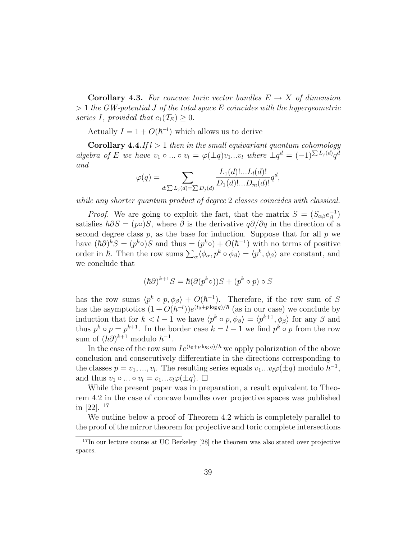**Corollary 4.3.** For concave toric vector bundles  $E \rightarrow X$  of dimension  $> 1$  the GW-potential J of the total space E coincides with the hypergeometric series I, provided that  $c_1(\mathcal{T}_E) \geq 0$ .

Actually  $I = 1 + O(\hbar^{-l})$  which allows us to derive

**Corollary 4.4.***If*  $l > 1$  *then in the small equivariant quantum cohomology* algebra of E we have  $v_1 \circ ... \circ v_l = \varphi(\pm q)v_1...v_l$  where  $\pm q^d = (-1)^{\sum L_j(d)}q^d$ and

$$
\varphi(q) = \sum_{d:\sum L_j(d) = \sum D_j(d)} \frac{L_1(d)!\dots L_l(d)!}{D_1(d)!\dots D_m(d)!} q^d,
$$

while any shorter quantum product of degree 2 classes coincides with classical.

*Proof.* We are going to exploit the fact, that the matrix  $S = (S_{\alpha\beta}e_{\beta}^{-1})$  $\binom{-1}{\beta}$ satisfies  $\hbar \partial S = (p \circ)S$ , where  $\partial$  is the derivative  $q\partial/\partial q$  in the direction of a second degree class  $p$ , as the base for induction. Suppose that for all  $p$  we have  $(\hbar \partial)^k S = (p^k \circ) S$  and thus  $= (p^k \circ) + O(\hbar^{-1})$  with no terms of positive order in  $\hbar$ . Then the row sums  $\sum_{\alpha} \langle \phi_{\alpha}, p^k \circ \phi_{\beta} \rangle = \langle p^k, \phi_{\beta} \rangle$  are constant, and we conclude that

$$
(\hbar \partial)^{k+1} S = \hbar (\partial (p^k \circ)) S + (p^k \circ p) \circ S
$$

has the row sums  $\langle p^k \circ p, \phi_{\beta} \rangle + O(\hbar^{-1})$ . Therefore, if the row sum of S has the asymptotics  $(1+O(\hbar^{-l}))e^{(t_0+p\log q)/\hbar}$  (as in our case) we conclude by induction that for  $k < l - 1$  we have  $\langle p^k \circ p, \phi_\beta \rangle = \langle p^{k+1}, \phi_\beta \rangle$  for any  $\beta$  and thus  $p^k \circ p = p^{k+1}$ . In the border case  $k = l - 1$  we find  $p^k \circ p$  from the row sum of  $({\hbar} \partial)^{k+1}$  modulo  ${\hbar}^{-1}$ .

In the case of the row sum  $Ie^{(t_0+p\log q)/\hbar}$  we apply polarization of the above conclusion and consecutively differentiate in the directions corresponding to the classes  $p = v_1, ..., v_l$ . The resulting series equals  $v_1...v_l\varphi(\pm q)$  modulo  $\hbar^{-1}$ , and thus  $v_1 \circ ... \circ v_l = v_1 ... v_l \varphi(\pm q)$ .  $\Box$ 

While the present paper was in preparation, a result equivalent to Theorem 4.2 in the case of concave bundles over projective spaces was published in [22]. <sup>17</sup>

We outline below a proof of Theorem 4.2 which is completely parallel to the proof of the mirror theorem for projective and toric complete intersections

<sup>&</sup>lt;sup>17</sup>In our lecture course at UC Berkeley [28] the theorem was also stated over projective spaces.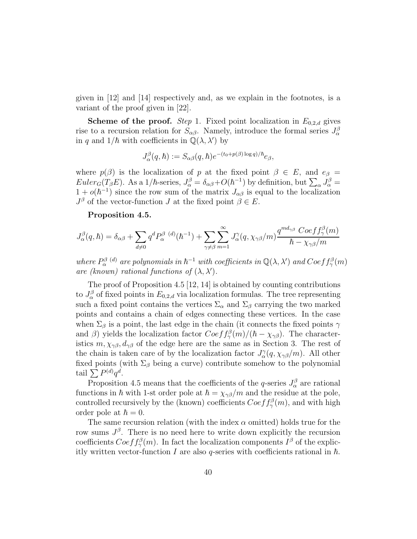given in [12] and [14] respectively and, as we explain in the footnotes, is a variant of the proof given in [22].

**Scheme of the proof.** Step 1. Fixed point localization in  $E_{0,2,d}$  gives rise to a recursion relation for  $S_{\alpha\beta}$ . Namely, introduce the formal series  $J_{\alpha}^{\beta}$ in q and  $1/\hbar$  with coefficients in  $\mathbb{Q}(\lambda, \lambda')$  by

$$
J_{\alpha}^{\beta}(q,\hbar) := S_{\alpha\beta}(q,\hbar) e^{-(t_0 + p(\beta)\log q)/\hbar} e_{\beta},
$$

where  $p(\beta)$  is the localization of p at the fixed point  $\beta \in E$ , and  $e_{\beta} =$  $Euler_G(T_{\beta}E)$ . As a  $1/\hbar$ -series,  $J_{\alpha}^{\beta} = \delta_{\alpha\beta} + O(\hbar^{-1})$  by definition, but  $\sum_{\alpha} J_{\alpha}^{\beta} =$  $1 + o(\hbar^{-1})$  since the row sum of the matrix  $J_{\alpha\beta}$  is equal to the localization  $J^{\beta}$  of the vector-function  $J$  at the fixed point  $\beta \in E$ .

#### Proposition 4.5.

$$
J_{\alpha}^{\beta}(q,\hbar) = \delta_{\alpha\beta} + \sum_{d \neq 0} q^d P_{\alpha}^{\beta(d)}(\hbar^{-1}) + \sum_{\gamma \neq \beta} \sum_{m=1}^{\infty} J_{\alpha}^{\gamma}(q, \chi_{\gamma\beta}/m) \frac{q^{md_{\gamma\beta}} Coeff_{\gamma}^{\beta}(m)}{\hbar - \chi_{\gamma\beta}/m}
$$

where  $P^{\beta}_{\alpha}$ <sup>(d)</sup> are polynomials in  $\hbar^{-1}$  with coefficients in  $\mathbb{Q}(\lambda, \lambda')$  and  $Coeff^{\beta}_{\gamma}(m)$ are (known) rational functions of  $(\lambda, \lambda')$ .

The proof of Proposition 4.5 [12, 14] is obtained by counting contributions to  $J_{\alpha}^{\beta}$  of fixed points in  $E_{0,2,d}$  via localization formulas. The tree representing such a fixed point contains the vertices  $\Sigma_{\alpha}$  and  $\Sigma_{\beta}$  carrying the two marked points and contains a chain of edges connecting these vertices. In the case when  $\Sigma_{\beta}$  is a point, the last edge in the chain (it connects the fixed points  $\gamma$ and  $\beta$ ) yields the localization factor  $Coeff_{\gamma}^{\beta}(m)/(\hbar - \chi_{\gamma\beta})$ . The characteristics  $m, \chi_{\gamma\beta}, d_{\gamma\beta}$  of the edge here are the same as in Section 3. The rest of the chain is taken care of by the localization factor  $J^{\gamma}_{\alpha}(q, \chi_{\gamma\beta}/m)$ . All other fixed points (with  $\Sigma_{\beta}$  being a curve) contribute somehow to the polynomial tail  $\sum P^{(d)}q^d$ .

Proposition 4.5 means that the coefficients of the q-series  $J_{\alpha}^{\beta}$  are rational functions in  $\hbar$  with 1-st order pole at  $\hbar = \chi_{\gamma\beta}/m$  and the residue at the pole, controlled recursively by the (known) coefficients  $Coeff^{\beta}_{\gamma}(m)$ , and with high order pole at  $\hbar = 0$ .

The same recursion relation (with the index  $\alpha$  omitted) holds true for the row sums  $J^{\beta}$ . There is no need here to write down explicitly the recursion coefficients  $Coeff_{\gamma}^{\beta}(m)$ . In fact the localization components  $I^{\beta}$  of the explicitly written vector-function I are also q-series with coefficients rational in  $\hbar$ .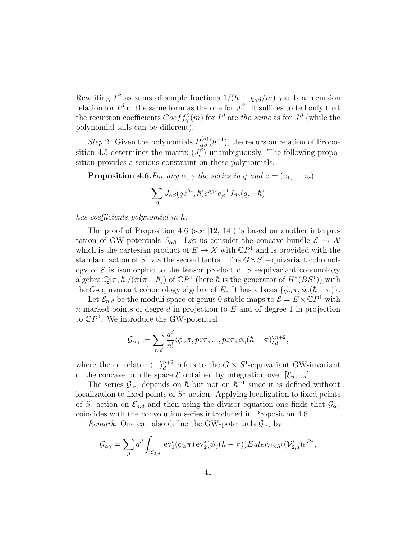Rewriting  $I^{\beta}$  as sums of simple fractions  $1/(\hbar - \chi_{\gamma\beta}/m)$  yields a recursion relation for  $I^{\beta}$  of the same form as the one for  $J^{\beta}$ . It suffices to tell only that the recursion coefficients  $Coeff_{\gamma}^{\beta}(m)$  for  $I^{\beta}$  are the same as for  $J^{\beta}$  (while the polynomial tails can be different).

Step 2. Given the polynomials  $P_{\alpha\beta}^{(d)}(\hbar^{-1})$ , the recursion relation of Proposition 4.5 determines the matrix  $(J_{\alpha}^{\beta})$  unambiguously. The following proposition provides a serious constraint on these polynomials.

**Proposition 4.6.** For any  $\alpha$ ,  $\gamma$  the series in q and  $z = (z_1, ..., z_r)$ 

$$
\sum_{\beta} J_{\alpha\beta}(qe^{\hbar z}, \hbar)e^{p_{\beta}z}e_{\beta}^{-1}J_{\beta\gamma}(q, -\hbar)
$$

has coefficients polynomial in  $\hbar$ .

The proof of Proposition 4.6 (see [12, 14]) is based on another interpretation of GW-potentials  $S_{\alpha\beta}$ . Let us consider the concave bundle  $\mathcal{E} \to \mathcal{X}$ which is the cartesian product of  $E \to X$  with  $\mathbb{C}P^1$  and is provided with the standard action of  $S^1$  via the second factor. The  $G \times S^1$ -equivariant cohomology of  $\mathcal{E}$  is isomorphic to the tensor product of  $S^1$ -equivariant cohomology algebra  $\mathbb{Q}[\pi,\hbar]/(\pi(\pi-\hbar))$  of  $\mathbb{C}P^1$  (here  $\hbar$  is the generator of  $H^*(BS^1)$ ) with the G-equivariant cohomology algebra of E. It has a basis  $\{\phi_{\alpha}\pi, \phi_{\gamma}(\hbar - \pi)\}.$ 

Let  $\mathcal{E}_{n,d}$  be the moduli space of genus 0 stable maps to  $\mathcal{E} = E \times \mathbb{C}P^1$  with n marked points of degre  $d$  in projection to  $E$  and of degree 1 in projection to  $\mathbb{C}P^1$ . We introduce the GW-potential

$$
\mathcal{G}_{\alpha\gamma} := \sum_{n,d} \frac{q^d}{n!} \langle \phi_{\alpha}\pi, pz\pi, ..., pz\pi, \phi_{\gamma}(\hbar - \pi) \rangle_d^{n+2},
$$

where the correlator  $\langle ... \rangle_d^{n+2}$  $a_d^{n+2}$  refers to the  $G \times S^1$ -equivariant GW-invariant of the concave bundle space  $\mathcal E$  obtained by integration over  $[\mathcal E_{n+2,d}]$ .

The series  $\mathcal{G}_{\alpha\gamma}$  depends on  $\hbar$  but not on  $\hbar^{-1}$  since it is defined without  $localization to fixed points of  $S^1$ -action. Applying localization to fixed points$ of  $S^1$ -action on  $\mathcal{E}_{n,d}$  and then using the divisor equation one finds that  $\mathcal{G}_{\alpha\gamma}$ coincides with the convolution series introduced in Proposition 4.6.

*Remark.* One can also define the GW-potentials  $\mathcal{G}_{\alpha\gamma}$  by

$$
\mathcal{G}_{\alpha\gamma} = \sum_{d} q^d \int_{[\mathcal{E}_{2,d}]} \text{ev}_1^*(\phi_\alpha \pi) \, \text{ev}_2^*(\phi_\gamma(\hbar - \pi)) Euler_{G \times S^1}(\mathcal{V}_{2,d}') e^{Pz},
$$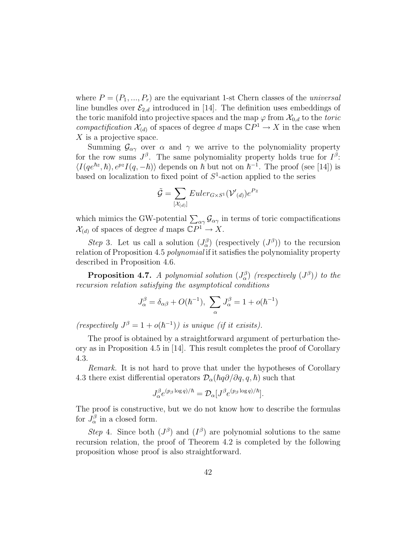where  $P = (P_1, ..., P_r)$  are the equivariant 1-st Chern classes of the *universal* line bundles over  $\mathcal{E}_{2,d}$  introduced in [14]. The definition uses embeddings of the toric manifold into projective spaces and the map  $\varphi$  from  $\mathcal{X}_{0,d}$  to the *toric* compactification  $\mathcal{X}_{(d)}$  of spaces of degree d maps  $\mathbb{C}P^1 \to X$  in the case when X is a projective space.

Summing  $\mathcal{G}_{\alpha\gamma}$  over  $\alpha$  and  $\gamma$  we arrive to the polynomiality property for the row sums  $J^{\beta}$ . The same polynomiality property holds true for  $I^{\beta}$ :  $\langle I(qe^{\hbar z}, \hbar), e^{pz}I(q, -\hbar)\rangle$  depends on  $\hbar$  but not on  $\hbar^{-1}$ . The proof (see [14]) is based on localization to fixed point of  $S<sup>1</sup>$ -action applied to the series

$$
\tilde{\mathcal{G}} = \sum_{[\mathcal{X}_{(d)}]} Euler_{G \times S^1}(\mathcal{V'}_{(d)})e^{Pz}
$$

which mimics the GW-potential  $\sum_{\alpha\gamma} \mathcal{G}_{\alpha\gamma}$  in terms of toric compactifications  $\mathcal{X}_{(d)}$  of spaces of degree d maps  $\mathbb{C}P^1 \to X$ .

Step 3. Let us call a solution  $(J_\alpha^\beta)$  (respectively  $(J^\beta)$ ) to the recursion relation of Proposition 4.5 polynomial if it satisfies the polynomiality property described in Proposition 4.6.

**Proposition 4.7.** A polynomial solution  $(J_{\alpha}^{\beta})$  (respectively  $(J^{\beta})$ ) to the recursion relation satisfying the asymptotical conditions

$$
J_{\alpha}^{\beta} = \delta_{\alpha\beta} + O(\hbar^{-1}), \sum_{\alpha} J_{\alpha}^{\beta} = 1 + o(\hbar^{-1})
$$

(respectively  $J^{\beta} = 1 + o(\hbar^{-1})$ ) is unique (if it exisits).

The proof is obtained by a straightforward argument of perturbation theory as in Proposition 4.5 in [14]. This result completes the proof of Corollary 4.3.

Remark. It is not hard to prove that under the hypotheses of Corollary 4.3 there exist differential operators  $\mathcal{D}_{\alpha}(\hbar q \partial/\partial q, q, \hbar)$  such that

$$
J_{\alpha}^{\beta} e^{(p_{\beta}\log q)/\hbar} = \mathcal{D}_{\alpha}[J^{\beta} e^{(p_{\beta}\log q)/\hbar}].
$$

The proof is constructive, but we do not know how to describe the formulas for  $J_{\alpha}^{\beta}$  in a closed form.

Step 4. Since both  $(J^{\beta})$  and  $(I^{\beta})$  are polynomial solutions to the same recursion relation, the proof of Theorem 4.2 is completed by the following proposition whose proof is also straightforward.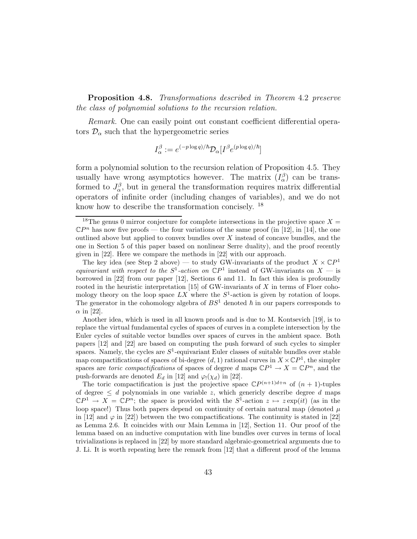Proposition 4.8. Transformations described in Theorem 4.2 preserve the class of polynomial solutions to the recursion relation.

Remark. One can easily point out constant coefficient differential operators  $\mathcal{D}_{\alpha}$  such that the hypergeometric series

$$
I_{\alpha}^{\beta}:=e^{(-p\log q)/\hbar}\mathcal{D}_{\alpha}[I^{\beta}e^{(p\log q)/\hbar}]
$$

form a polynomial solution to the recursion relation of Proposition 4.5. They usually have wrong asymptotics however. The matrix  $(I_{\alpha}^{\beta})$  can be transformed to  $J_{\alpha}^{\beta}$ , but in general the transformation requires matrix differential operators of infinite order (including changes of variables), and we do not know how to describe the transformation concisely. <sup>18</sup>

<sup>&</sup>lt;sup>18</sup>The genus 0 mirror conjecture for complete intersections in the projective space  $X =$  $\mathbb{C}P^n$  has now five proofs — the four variations of the same proof (in [12], in [14], the one outlined above but applied to convex bundles over  $X$  instead of concave bundles, and the one in Section 5 of this paper based on nonlinear Serre duality), and the proof recently given in [22]. Here we compare the methods in [22] with our approach.

The key idea (see Step 2 above) — to study GW-invariants of the product  $X \times \mathbb{C}P^1$ equivariant with respect to the  $S^1$ -action on  $\mathbb{C}P^1$  instead of GW-invariants on  $X$  — is borrowed in [22] from our paper [12], Sections 6 and 11. In fact this idea is profoundly rooted in the heuristic interpretation [15] of GW-invariants of  $X$  in terms of Floer cohomology theory on the loop space  $LX$  where the  $S<sup>1</sup>$ -action is given by rotation of loops. The generator in the cohomology algebra of  $BS<sup>1</sup>$  denoted  $\hbar$  in our papers corresponds to  $\alpha$  in [22].

Another idea, which is used in all known proofs and is due to M. Kontsevich [19], is to replace the virtual fundamental cycles of spaces of curves in a complete intersection by the Euler cycles of suitable vector bundles over spaces of curves in the ambient space. Both papers [12] and [22] are based on computing the push forward of such cycles to simpler spaces. Namely, the cycles are  $S^1$ -equivariant Euler classes of suitable bundles over stable map compactifications of spaces of bi-degree  $(d, 1)$  rational curves in  $X \times \mathbb{C}P^1$ , the simpler spaces are *toric compactifications* of spaces of degree d maps  $\mathbb{C}P^1 \to X = \mathbb{C}P^n$ , and the push-forwards are denoted  $E_d$  in [12] and  $\varphi_1(\chi_d)$  in [22].

The toric compactification is just the projective space  $\mathbb{C}P^{(n+1)d+n}$  of  $(n+1)$ -tuples of degree  $\leq d$  polynomials in one variable z, which genericly describe degree d maps  $\mathbb{C}P^1 \to X = \mathbb{C}P^n$ ; the space is provided with the  $S^1$ -action  $z \mapsto z \exp(it)$  (as in the loop space!) Thus both papers depend on continuity of certain natural map (denoted  $\mu$ in [12] and  $\varphi$  in [22]) between the two compactifications. The continuity is stated in [22] as Lemma 2.6. It coincides with our Main Lemma in [12], Section 11. Our proof of the lemma based on an inductive computation with line bundles over curves in terms of local trivializations is replaced in [22] by more standard algebraic-geometrical arguments due to J. Li. It is worth repeating here the remark from [12] that a different proof of the lemma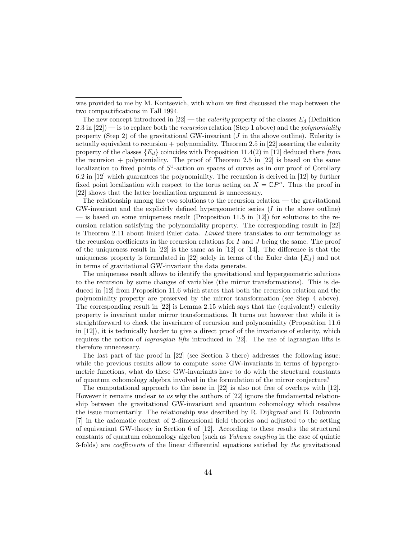The relationship among the two solutions to the recursion relation — the gravitational GW-invariant and the explicitly defined hypergeometric series  $(I$  in the above outline) — is based on some uniqueness result (Proposition 11.5 in [12]) for solutions to the recursion relation satisfying the polynomiality property. The corresponding result in [22] is Theorem 2.11 about linked Euler data. Linked there translates to our terminology as the recursion coefficients in the recursion relations for  $I$  and  $J$  being the same. The proof of the uniqueness result in  $[22]$  is the same as in  $[12]$  or  $[14]$ . The difference is that the uniqueness property is formulated in [22] solely in terms of the Euler data  $\{E_d\}$  and not in terms of gravitational GW-invariant the data generate.

The uniqueness result allows to identify the gravitational and hypergeometric solutions to the recursion by some changes of variables (the mirror transformations). This is deduced in [12] from Proposition 11.6 which states that both the recursion relation and the polynomiality property are preserved by the mirror transformation (see Step 4 above). The corresponding result in [22] is Lemma 2.15 which says that the (equivalent!) eulerity property is invariant under mirror transformations. It turns out however that while it is straightforward to check the invariance of recursion and polynomiality (Proposition 11.6 in [12]), it is technically harder to give a direct proof of the invariance of eulerity, which requires the notion of lagrangian lifts introduced in [22]. The use of lagrangian lifts is therefore unnecessary.

The last part of the proof in [22] (see Section 3 there) addresses the following issue: while the previous results allow to compute *some* GW-invariants in terms of hypergeometric functions, what do these GW-invariants have to do with the structural constants of quantum cohomology algebra involved in the formulation of the mirror conjecture?

The computational approach to the issue in [22] is also not free of overlaps with [12]. However it remains unclear to us why the authors of [22] ignore the fundamental relationship between the gravitational GW-invariant and quantum cohomology which resolves the issue momentarily. The relationship was described by R. Dijkgraaf and B. Dubrovin [7] in the axiomatic context of 2-dimensional field theories and adjusted to the setting of equivariant GW-theory in Section 6 of [12]. According to these results the structural constants of quantum cohomology algebra (such as Yukawa coupling in the case of quintic 3-folds) are coefficients of the linear differential equations satisfied by the gravitational

was provided to me by M. Kontsevich, with whom we first discussed the map between the two compactifications in Fall 1994.

The new concept introduced in  $[22]$  — the *eulerity* property of the classes  $E_d$  (Definition 2.3 in  $[22]$  — is to replace both the *recursion* relation (Step 1 above) and the *polynomiality* property (Step 2) of the gravitational GW-invariant ( $J$  in the above outline). Eulerity is actually equivalent to recursion  $+$  polynomiality. Theorem 2.5 in [22] asserting the eulerity property of the classes  ${E_d}$  coincides with Proposition 11.4(2) in [12] deduced there from the recursion  $+$  polynomiality. The proof of Theorem 2.5 in [22] is based on the same localization to fixed points of  $S<sup>1</sup>$ -action on spaces of curves as in our proof of Corollary 6.2 in [12] which guarantees the polynomiality. The recursion is derived in [12] by further fixed point localization with respect to the torus acting on  $X = \mathbb{C}P^n$ . Thus the proof in [22] shows that the latter localization argument is unnecessary.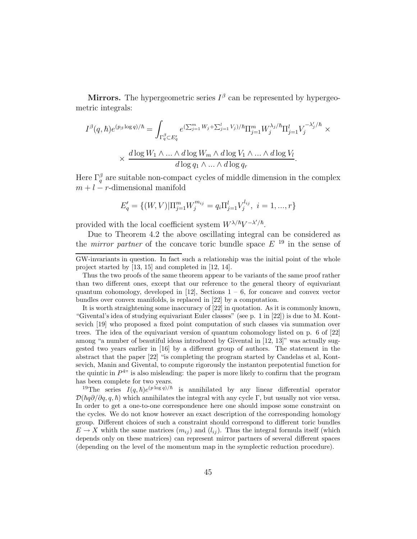**Mirrors.** The hypergeometric series  $I^{\beta}$  can be represented by hypergeometric integrals:

$$
I^{\beta}(q,\hbar)e^{(p_{\beta}\log q)/\hbar} = \int_{\Gamma_{q}^{\beta} \subset E_{q}'} e^{(\sum_{j=1}^{m} W_{j} + \sum_{j=1}^{l} V_{j})/\hbar} \Pi_{j=1}^{m} W_{j}^{\lambda_{j}/\hbar} \Pi_{j=1}^{l} V_{j}^{-\lambda'_{j}/\hbar} \times
$$

$$
\times \frac{d \log W_{1} \wedge ... \wedge d \log W_{m} \wedge d \log V_{1} \wedge ... \wedge d \log V_{l}}{d \log q_{1} \wedge ... \wedge d \log q_{r}}.
$$

Here  $\Gamma_q^{\beta}$  are suitable non-compact cycles of middle dimension in the complex  $m + l - r$ -dimensional manifold

$$
E'_{q} = \{(W, V)|\Pi_{j=1}^{m}W_{j}^{m_{ij}} = q_{i}\Pi_{j=1}^{l}V_{j}^{l_{ij}}, i = 1, ..., r\}
$$

provided with the local coefficient system  $W^{\lambda/\hbar}V^{-\lambda'/\hbar}$ .

Due to Theorem 4.2 the above oscillating integral can be considered as the *mirror partner* of the concave toric bundle space  $E^{-19}$  in the sense of

GW-invariants in question. In fact such a relationship was the initial point of the whole project started by [13, 15] and completed in [12, 14].

Thus the two proofs of the same theorem appear to be variants of the same proof rather than two different ones, except that our reference to the general theory of equivariant quantum cohomology, developed in  $[12]$ , Sections  $1 - 6$ , for concave and convex vector bundles over convex manifolds, is replaced in [22] by a computation.

It is worth straightening some inaccuracy of [22] in quotation. As it is commonly known, "Givental's idea of studying equivariant Euler classes" (see p. 1 in [22]) is due to M. Kontsevich [19] who proposed a fixed point computation of such classes via summation over trees. The idea of the equivariant version of quantum cohomology listed on p. 6 of [22] among "a number of beautiful ideas introduced by Givental in [12, 13]" was actually suggested two years earlier in [16] by a different group of authors. The statement in the abstract that the paper [22] "is completing the program started by Candelas et al, Kontsevich, Manin and Givental, to compute rigorously the instanton prepotential function for the quintic in  $P^{4n}$  is also misleading: the paper is more likely to confirm that the program has been complete for two years.

<sup>&</sup>lt;sup>19</sup>The series  $I(q, \hbar) e^{(p \log q)/\hbar}$  is annihilated by any linear differential operator  $\mathcal{D}(\hbar q \partial/\partial q, q, \hbar)$  which annihilates the integral with any cycle Γ, but usually not vice versa. In order to get a one-to-one correspondence here one should impose some constraint on the cycles. We do not know however an exact description of the corresponding homology group. Different choices of such a constraint should correspond to different toric bundles  $E \to X$  whith the same matrices  $(m_{ij})$  and  $(l_{ij})$ . Thus the integral formula itself (which depends only on these matrices) can represent mirror partners of several different spaces (depending on the level of the momentum map in the symplectic reduction procedure).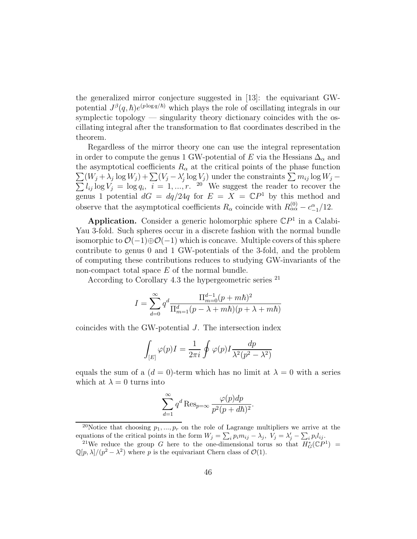the generalized mirror conjecture suggested in [13]: the equivariant GWpotential  $J^{\beta}(q,\hbar)e^{(p\log q/\hbar)}$  which plays the role of oscillating integrals in our symplectic topology — singularity theory dictionary coincides with the oscillating integral after the transformation to flat coordinates described in the theorem.

Regardless of the mirror theory one can use the integral representation in order to compute the genus 1 GW-potential of E via the Hessians  $\Delta_{\alpha}$  and  $\sum (W_j + \lambda_j \log W_j) + \sum (V_j - \lambda'_j \log V_j)$  under the constraints  $\sum$ the asymptotical coefficients  $R_{\alpha}$  at the critical points of the phase function  $\sum$  $m_{ij}$  log  $W_j$  –  $l_{ij}$  log  $V_j = \log q_i$ ,  $i = 1, ..., r$ . <sup>20</sup> We suggest the reader to recover the genus 1 potential  $dG = dq/24q$  for  $E = X = \mathbb{C}P^1$  by this method and observe that the asymptotical coefficients  $R_{\alpha}$  coincide with  $R_{\alpha\alpha}^{(0)} - c_{-1}^{\alpha}/12$ .

**Application.** Consider a generic holomorphic sphere  $\mathbb{C}P^1$  in a Calabi-Yau 3-fold. Such spheres occur in a discrete fashion with the normal bundle isomorphic to  $\mathcal{O}(-1) \oplus \mathcal{O}(-1)$  which is concave. Multiple covers of this sphere contribute to genus 0 and 1 GW-potentials of the 3-fold, and the problem of computing these contributions reduces to studying GW-invariants of the non-compact total space E of the normal bundle.

According to Corollary 4.3 the hypergeometric series <sup>21</sup>

$$
I = \sum_{d=0}^{\infty} q^d \frac{\Pi_{m=0}^{d-1} (p+m\hbar)^2}{\Pi_{m=1}^d (p-\lambda+m\hbar)(p+\lambda+m\hbar)}
$$

coincides with the GW-potential J. The intersection index

$$
\int_{[E]} \varphi(p)I = \frac{1}{2\pi i} \oint \varphi(p)I \frac{dp}{\lambda^2(p^2 - \lambda^2)}
$$

equals the sum of a  $(d = 0)$ -term which has no limit at  $\lambda = 0$  with a series which at  $\lambda = 0$  turns into

$$
\sum_{d=1}^{\infty} q^d \operatorname{Res}_{p=\infty} \frac{\varphi(p)dp}{p^2(p+d\hbar)^2}.
$$

<sup>&</sup>lt;sup>20</sup>Notice that choosing  $p_1, ..., p_r$  on the role of Lagrange multipliers we arrive at the equations of the critical points in the form  $W_j = \sum_i p_i m_{ij} - \lambda_j$ ,  $V_j = \lambda'_j - \sum_i p_i l_{ij}$ .

<sup>&</sup>lt;sup>21</sup>We reduce the group G here to the one-dimensional torus so that  $H^*_G(\mathbb{C}P^1) =$  $\mathbb{Q}[p,\lambda]/(p^2-\lambda^2)$  where p is the equivariant Chern class of  $\mathcal{O}(1)$ .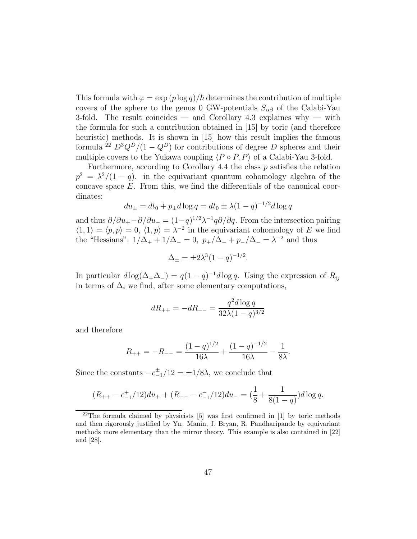This formula with  $\varphi = \exp(p \log q)/\hbar$  determines the contribution of multiple covers of the sphere to the genus 0 GW-potentials  $S_{\alpha\beta}$  of the Calabi-Yau 3-fold. The result coincides — and Corollary 4.3 explaines why — with the formula for such a contribution obtained in [15] by toric (and therefore heuristic) methods. It is shown in [15] how this result implies the famous formula <sup>22</sup>  $D^3 Q^D/(1 - Q^D)$  for contributions of degree D spheres and their multiple covers to the Yukawa coupling  $\langle P \circ P, P \rangle$  of a Calabi-Yau 3-fold.

Furthermore, according to Corollary 4.4 the class  $p$  satisfies the relation  $p^2 = \lambda^2/(1-q)$ . in the equivariant quantum cohomology algebra of the concave space  $E$ . From this, we find the differentials of the canonical coordinates:

$$
du_{\pm} = dt_0 + p_{\pm}d\log q = dt_0 \pm \lambda (1 - q)^{-1/2}d\log q
$$

and thus  $\partial/\partial u_+ - \partial/\partial u_- = (1-q)^{1/2}\lambda^{-1}q\partial/\partial q$ . From the intersection pairing  $\langle 1, 1 \rangle = \langle p, p \rangle = 0, \langle 1, p \rangle = \lambda^{-2}$  in the equivariant cohomology of E we find the "Hessians":  $1/\Delta_+ + 1/\Delta_- = 0$ ,  $p_+/\Delta_+ + p_-/\Delta_- = \lambda^{-2}$  and thus

$$
\Delta_{\pm} = \pm 2\lambda^3 (1 - q)^{-1/2}.
$$

In particular  $d \log(\Delta_+ \Delta_-) = q(1-q)^{-1} d \log q$ . Using the expression of  $R_{ij}$ in terms of  $\Delta_i$  we find, after some elementary computations,

$$
dR_{++} = -dR_{--} = \frac{q^2 d \log q}{32\lambda (1-q)^{3/2}}
$$

and therefore

$$
R_{++} = -R_{--} = \frac{(1-q)^{1/2}}{16\lambda} + \frac{(1-q)^{-1/2}}{16\lambda} - \frac{1}{8\lambda}.
$$

Since the constants  $-c_{-1}^{\pm}/12 = \pm 1/8\lambda$ , we conclude that

$$
(R_{++} - c_{-1}^+/12)du_+ + (R_{--} - c_{-1}^-/12)du_- = (\frac{1}{8} + \frac{1}{8(1-q)})d\log q.
$$

 $22$ The formula claimed by physicists [5] was first confirmed in [1] by toric methods and then rigorously justified by Yu. Manin, J. Bryan, R. Pandharipande by equivariant methods more elementary than the mirror theory. This example is also contained in [22] and [28].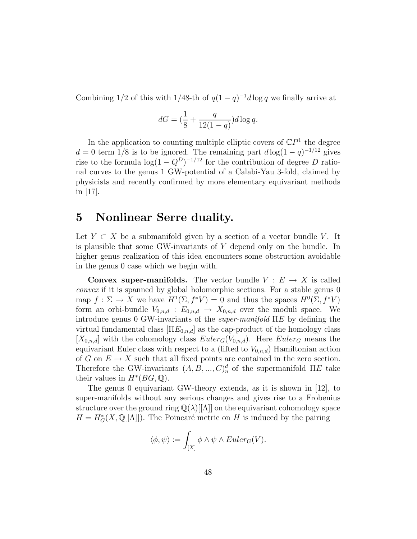Combining 1/2 of this with 1/48-th of  $q(1-q)^{-1}d\log q$  we finally arrive at

$$
dG = \left(\frac{1}{8} + \frac{q}{12(1-q)}\right) d \log q.
$$

In the application to counting multiple elliptic covers of  $\mathbb{C}P<sup>1</sup>$  the degree  $d = 0$  term 1/8 is to be ignored. The remaining part  $d \log(1 - q)^{-1/12}$  gives rise to the formula  $\log(1 - Q^D)^{-1/12}$  for the contribution of degree D rational curves to the genus 1 GW-potential of a Calabi-Yau 3-fold, claimed by physicists and recently confirmed by more elementary equivariant methods in [17].

### 5 Nonlinear Serre duality.

Let  $Y \subset X$  be a submanifold given by a section of a vector bundle V. It is plausible that some GW-invariants of Y depend only on the bundle. In higher genus realization of this idea encounters some obstruction avoidable in the genus 0 case which we begin with.

**Convex super-manifolds.** The vector bundle  $V : E \to X$  is called convex if it is spanned by global holomorphic sections. For a stable genus 0 map  $f: \Sigma \to X$  we have  $H^1(\Sigma, f^*V) = 0$  and thus the spaces  $H^0(\Sigma, f^*V)$ form an orbi-bundle  $V_{0,n,d}: E_{0,n,d} \to X_{0,n,d}$  over the moduli space. We introduce genus 0 GW-invariants of the *super-manifold*  $\Pi E$  by defining the virtual fundamental class  $[\Pi E_{0,n,d}]$  as the cap-product of the homology class  $[X_{0,n,d}]$  with the cohomology class  $Euler_G(V_{0,n,d})$ . Here  $Euler_G$  means the equivariant Euler class with respect to a (lifted to  $V_{0,n,d}$ ) Hamiltonian action of G on  $E \to X$  such that all fixed points are contained in the zero section. Therefore the GW-invariants  $(A, B, ..., C)<sub>n</sub><sup>d</sup>$  of the supermanifold  $\Pi E$  take their values in  $H^*(BG, \mathbb{Q})$ .

The genus 0 equivariant GW-theory extends, as it is shown in [12], to super-manifolds without any serious changes and gives rise to a Frobenius structure over the ground ring  $\mathbb{Q}(\lambda)[[\Lambda]]$  on the equivariant cohomology space  $H = H_G^*(X, \mathbb{Q}[[\Lambda]])$ . The Poincaré metric on H is induced by the pairing

$$
\langle \phi, \psi \rangle := \int_{[X]} \phi \wedge \psi \wedge Euler_G(V).
$$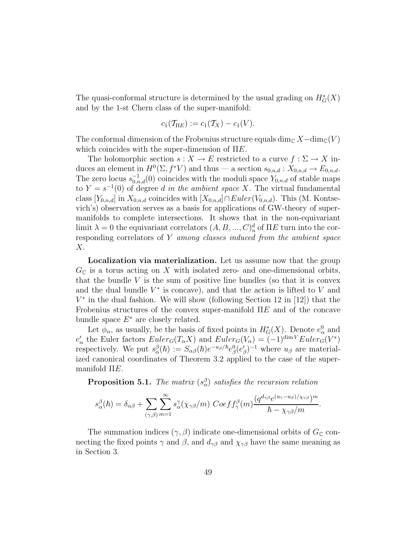The quasi-conformal structure is determined by the usual grading on  $H^*_{\mathcal{G}}(X)$ and by the 1-st Chern class of the super-manifold:

$$
c_1(\mathcal{T}_{\Pi E}) := c_1(\mathcal{T}_X) - c_1(V).
$$

The conformal dimension of the Frobenius structure equals dim<sub>C</sub>  $X-\text{dim}_\mathbb{C}(V)$ which coincides with the super-dimension of  $\Pi E$ .

The holomorphic section  $s: X \to E$  restricted to a curve  $f: \Sigma \to X$  induces an element in  $H^0(\Sigma, f^*V)$  and thus — a section  $s_{0,n,d}: X_{0,n,d} \to E_{0,n,d}$ . The zero locus  $s_{0,n,d}^{-1}(0)$  coincides with the moduli space  $Y_{0,n,d}$  of stable maps to  $Y = s^{-1}(0)$  of degree d in the ambient space X. The virtual fundamental class  $[Y_{0,n,d}]$  in  $X_{0,n,d}$  coincides with  $[X_{0,n,d}] \cap Euler(V_{0,n,d})$ . This (M. Kontsevich's) observation serves as a basis for applications of GW-theory of supermanifolds to complete intersections. It shows that in the non-equivariant limit  $\lambda = 0$  the equivariant correlators  $(A, B, ..., C)<sub>n</sub><sup>d</sup>$  of  $\Pi E$  turn into the corresponding correlators of  $Y$  among classes induced from the ambient space X.

Localization via materialization. Let us assume now that the group  $G_{\mathbb{C}}$  is a torus acting on X with isolated zero- and one-dimensional orbits, that the bundle  $V$  is the sum of positive line bundles (so that it is convex and the dual bundle  $V^*$  is concave), and that the action is lifted to  $V$  and  $V^*$  in the dual fashion. We will show (following Section 12 in [12]) that the Frobenius structures of the convex super-manifold  $\Pi E$  and of the concave bundle space  $E^*$  are closely related.

Let  $\phi_{\alpha}$ , as usually, be the basis of fixed points in  $H^*_{\mathcal{G}}(X)$ . Denote  $e_{\alpha}^0$  and  $e'_\alpha$  the Euler factors  $Euler_G(T_\alpha X)$  and  $Euler_G(V_\alpha) = (-1)^{\dim V} Euler_G(V^*)$ respectively. We put  $s^{\beta}_{\alpha}(\hbar) := S_{\alpha\beta}(\hbar) e^{-u_{\beta}/\hbar} e^0_{\beta} (e'_{\beta})^{-1}$  where  $u_{\beta}$  are materialized canonical coordinates of Theorem 3.2 applied to the case of the supermanifold  $\Pi E$ .

**Proposition 5.1.** The matrix  $(s_\alpha^\beta)$  satisfies the recursion relation

$$
s_{\alpha}^{\beta}(\hbar) = \delta_{\alpha\beta} + \sum_{(\gamma,\beta)} \sum_{m=1}^{\infty} s_{\alpha}^{\gamma}(\chi_{\gamma\beta}/m) \ Coeff_{\gamma}^{\beta}(m) \frac{(q^{d_{\gamma\beta}}e^{(u_{\gamma}-u_{\beta})/\chi_{\gamma\beta}})^m}{\hbar - \chi_{\gamma\beta}/m}.
$$

The summation indices  $(\gamma, \beta)$  indicate one-dimensional orbits of  $G_{\mathbb{C}}$  connecting the fixed points  $\gamma$  and  $\beta$ , and  $d_{\gamma\beta}$  and  $\chi_{\gamma\beta}$  have the same meaning as in Section 3.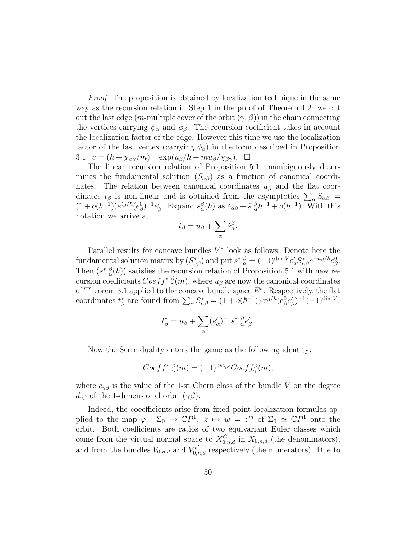Proof. The proposition is obtained by localization technique in the same way as the recursion relation in Step 1 in the proof of Theorem 4.2: we cut out the last edge (m-multiple cover of the orbit  $(\gamma, \beta)$ ) in the chain connecting the vertices carrying  $\phi_{\alpha}$  and  $\phi_{\beta}$ . The recursion coefficient takes in account the localization factor of the edge. However this time we use the localization factor of the last vertex (carrying  $\phi_{\beta}$ ) in the form described in Proposition 3.1:  $v = (\hbar + \chi_{\beta\gamma}/m)^{-1} \exp(u_{\beta}/\hbar + m u_{\beta}/\chi_{\beta\gamma})$ .  $\Box$ 

The linear recursion relation of Proposition 5.1 unambiguously determines the fundamental solution  $(S_{\alpha\beta})$  as a function of canonical coordinates. The relation between canonical coordinates  $u_{\beta}$  and the flat coordinates  $t_\beta$  is non-linear and is obtained from the asymptotics  $\sum_\alpha S_{\alpha\beta} =$  $(1+o(\hbar^{-1}))e^{t_{\beta}/\hbar}(e^0_{\beta})^{-1}e'_{\beta}$ . Expand  $s^{\beta}_{\alpha}(\hbar)$  as  $\delta_{\alpha\beta}+s^{\beta}_{\alpha}\hbar^{-1}+o(\hbar^{-1})$ . With this notation we arrive at

$$
t_{\beta}=u_{\beta}+\sum_{\alpha}\dot{s}_{\alpha}^{\beta}.
$$

Parallel results for concave bundles  $V^*$  look as follows. Denote here the fundamental solution matrix by  $(S_{\alpha\beta}^*)$  and put  $s^* {\alpha \over \alpha} = (-1)^{\dim V} e'_a S_{\alpha\beta}^* e^{-u_\beta/\hbar} e_\beta^0$ . Then  $(s^* \alpha^{(h)})$  satisfies the recursion relation of Proposition 5.1 with new recursion coefficients  $Coeff^* \frac{\beta}{\gamma}(m)$ , where  $u_\beta$  are now the canonical coordinates of Theorem 3.1 applied to the concave bundle space  $E^*$ . Respectively, the flat coordinates  $t^*_{\beta}$  are found from  $\sum_{\alpha} S^*_{\alpha\beta} = (1 + o(\hbar^{-1}))e^{t_{\beta}/\hbar}(e^0_{\beta}e'_{\beta})^{-1}(-1)^{\dim V}$ :

$$
t_{\beta}^* = u_{\beta} + \sum_{\alpha} (e_{\alpha}')^{-1} \dot{s}^* {\,}^{\beta}_{\alpha} e_{\beta}'.
$$

Now the Serre duality enters the game as the following identity:

$$
Coeff^* {\beta \over \gamma}(m) = (-1)^{mc_{\gamma\beta}} Coeff^{\beta}_{\gamma}(m),
$$

where  $c_{\gamma\beta}$  is the value of the 1-st Chern class of the bundle V on the degree  $d_{\gamma\beta}$  of the 1-dimensional orbit ( $\gamma\beta$ ).

Indeed, the coeefficients arise from fixed point localization formulas applied to the map  $\varphi : \Sigma_0 \to \mathbb{C}P^1$ ,  $z \mapsto w = z^m$  of  $\Sigma_0 \simeq \mathbb{C}P^1$  onto the orbit. Both coefficients are ratios of two equivariant Euler classes which come from the virtual normal space to  $X_{0,n,d}^G$  in  $X_{0,n,d}$  (the denominators), and from the bundles  $V_{0,n,d}$  and  $V_{0,n,d}^{*'}$  respectively (the numerators). Due to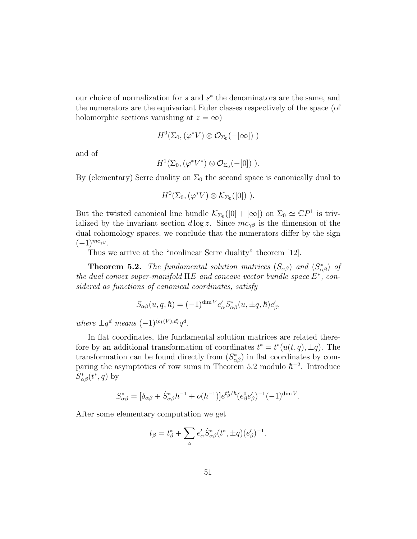our choice of normalization for  $s$  and  $s^*$  the denominators are the same, and the numerators are the equivariant Euler classes respectively of the space (of holomorphic sections vanishing at  $z = \infty$ )

$$
H^0(\Sigma_0, (\varphi^* V) \otimes \mathcal{O}_{\Sigma_0}(-[\infty]))
$$

and of

$$
H^1(\Sigma_0, (\varphi^*V^*)\otimes \mathcal{O}_{\Sigma_0}(-[0]))
$$
.

By (elementary) Serre duality on  $\Sigma_0$  the second space is canonically dual to

$$
H^0(\Sigma_0, (\varphi^*V) \otimes \mathcal{K}_{\Sigma_0}([0]))
$$
.

But the twisted canonical line bundle  $\mathcal{K}_{\Sigma_0}([0] + [\infty])$  on  $\Sigma_0 \simeq \mathbb{C}P^1$  is trivialized by the invariant section  $d \log z$ . Since  $mc_{\gamma\beta}$  is the dimension of the dual cohomology spaces, we conclude that the numerators differ by the sign  $(-1)^{mc_{\gamma\beta}}$ .

Thus we arrive at the "nonlinear Serre duality" theorem [12].

**Theorem 5.2.** The fundamental solution matrices  $(S_{\alpha\beta})$  and  $(S_{\alpha\beta}^*)$  of the dual convex super-manifold  $\Pi E$  and concave vector bundle space  $E^*$ , considered as functions of canonical coordinates, satisfy

$$
S_{\alpha\beta}(u,q,\hbar) = (-1)^{\dim V} e'_{\alpha} S^*_{\alpha\beta}(u,\pm q,\hbar) e'_{\beta},
$$

where  $\pm q^d$  means  $(-1)^{\langle c_1(V),d\rangle} q^d$ .

In flat coordinates, the fundamental solution matrices are related therefore by an additional transformation of coordinates  $t^* = t^*(u(t, q), \pm q)$ . The transformation can be found directly from  $(S_{\alpha\beta}^*)$  in flat coordinates by comparing the asymptotics of row sums in Theorem 5.2 modulo  $\hbar^{-2}$ . Introduce  $\dot{S}^*_{\alpha\beta}(t^*,q)$  by

$$
S^*_{\alpha\beta}=[\delta_{\alpha\beta}+\dot{S}^*_{\alpha\beta}\hbar^{-1}+o(\hbar^{-1})]e^{t^*_{\beta}/\hbar}(e^0_{\beta}e'_{\beta})^{-1}(-1)^{\dim V}.
$$

After some elementary computation we get

$$
t_{\beta} = t_{\beta}^* + \sum_{\alpha} e_{\alpha}' \dot{S}_{\alpha\beta}^*(t^*, \pm q) (e_{\beta}')^{-1}.
$$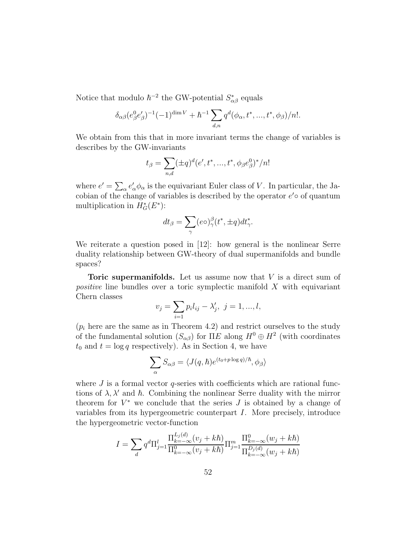Notice that modulo  $\hbar^{-2}$  the GW-potential  $S^*_{\alpha\beta}$  equals

$$
\delta_{\alpha\beta} (e_{\beta}^0 e_{\beta}^{\prime})^{-1} (-1)^{\dim V} + \hbar^{-1} \sum_{d,n} q^d (\phi_{\alpha}, t^*, ..., t^*, \phi_{\beta})/n!.
$$

We obtain from this that in more invariant terms the change of variables is describes by the GW-invariants

$$
t_{\beta} = \sum_{n,d} (\pm q)^d (e', t^*, \dots, t^*, \phi_{\beta} e_{\beta}^0)^* / n!
$$

where  $e' = \sum_{\alpha} e'_{\alpha} \phi_{\alpha}$  is the equivariant Euler class of V. In particular, the Jacobian of the change of variables is described by the operator  $e' \circ$  of quantum multiplication in  $H^*_{G}(E^*)$ :

$$
dt_{\beta} = \sum_{\gamma} (e \circ)^{\beta}_{\gamma} (t^*, \pm q) dt^*_{\gamma}.
$$

We reiterate a question posed in [12]: how general is the nonlinear Serre duality relationship between GW-theory of dual supermanifolds and bundle spaces?

Toric supermanifolds. Let us assume now that  $V$  is a direct sum of positive line bundles over a toric symplectic manifold X with equivariant Chern classes

$$
v_j = \sum_{i=1} p_i l_{ij} - \lambda'_j, \ j = 1, ..., l,
$$

 $(p_i)$  here are the same as in Theorem 4.2) and restrict ourselves to the study of the fundamental solution  $(S_{\alpha\beta})$  for  $\Pi E$  along  $H^0 \oplus H^2$  (with coordinates  $t_0$  and  $t = \log q$  respectively). As in Section 4, we have

$$
\sum_{\alpha} S_{\alpha\beta} = \langle J(q,\hbar)e^{(t_0+p\log q)/\hbar}, \phi_{\beta} \rangle
$$

where  $J$  is a formal vector  $q$ -series with coefficients which are rational functions of  $\lambda$ ,  $\lambda'$  and  $\hbar$ . Combining the nonlinear Serre duality with the mirror theorem for  $V^*$  we conclude that the series  $J$  is obtained by a change of variables from its hypergeometric counterpart I. More precisely, introduce the hypergeometric vector-function

$$
I = \sum_{d} q^{d} \Pi_{j=1}^{l} \frac{\Pi_{k=-\infty}^{L_j(d)}(v_j + k\hbar)}{\Pi_{k=-\infty}^{0}(v_j + k\hbar)} \Pi_{j=1}^{m} \frac{\Pi_{k=-\infty}^{0}(w_j + k\hbar)}{\Pi_{k=-\infty}^{D_j(d)}(w_j + k\hbar)}
$$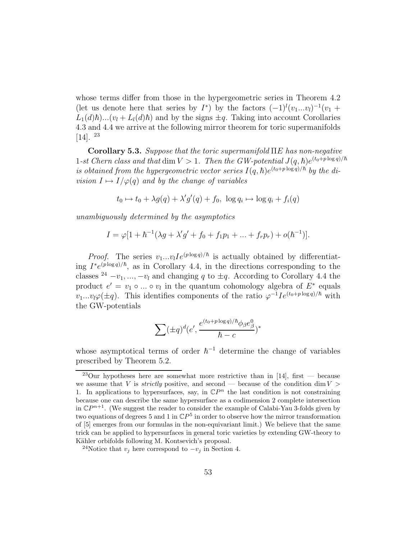whose terms differ from those in the hypergeometric series in Theorem 4.2 (let us denote here that series by  $I^*$ ) by the factors  $(-1)^l (v_1...v_l)^{-1} (v_1 +$  $L_1(d)\hbar$ ... $(v_l + L_l(d)\hbar)$  and by the signs  $\pm q$ . Taking into account Corollaries 4.3 and 4.4 we arrive at the following mirror theorem for toric supermanifolds [14]. <sup>23</sup>

Corollary 5.3. Suppose that the toric supermanifold ΠE has non-negative 1-st Chern class and that dim  $V > 1$ . Then the GW-potential  $J(q, \hbar)e^{(t_0+p\log q)/\hbar}$ is obtained from the hypergeometric vector series  $I(q, \hbar) e^{(t_0+p \log q)/\hbar}$  by the division  $I \mapsto I/\varphi(q)$  and by the change of variables

$$
t_0 \mapsto t_0 + \lambda g(q) + \lambda' g'(q) + f_0, \ \log q_i \mapsto \log q_i + f_i(q)
$$

unambiguously determined by the asymptotics

$$
I = \varphi[1 + \hbar^{-1}(\lambda g + \lambda' g' + f_0 + f_1 p_1 + \dots + f_r p_r) + o(\hbar^{-1})].
$$

*Proof.* The series  $v_1...v_lIe^{(p \log q)/\hbar}$  is actually obtained by differentiating  $I^*e^{(p\log q)/\hbar}$ , as in Corollary 4.4, in the directions corresponding to the classes <sup>24</sup>  $-v_1, ..., -v_l$  and changing q to  $\pm q$ . According to Corollary 4.4 the product  $e' = v_1 \circ ... \circ v_l$  in the quantum cohomology algebra of  $E^*$  equals  $v_1...v_l\varphi(\pm q)$ . This identifies components of the ratio  $\varphi^{-1}Ie^{(t_0+p\log q)/\hbar}$  with the GW-potentials

$$
\sum (\pm q)^d (e', \frac{e^{(t_0 + p \log q)/\hbar} \phi_\beta e_\beta^0}{\hbar - c})^*
$$

whose asymptotical terms of order  $\hbar^{-1}$  determine the change of variables prescribed by Theorem 5.2.

 $23$ Our hypotheses here are somewhat more restrictive than in [14], first — because we assume that V is *strictly* positive, and second — because of the condition dim  $V >$ 1. In applications to hypersurfaces, say, in  $\mathbb{C}P^n$  the last condition is not constraining because one can describe the same hypersurface as a codimension 2 complete intersection in  $\mathbb{C}P^{n+1}$ . (We suggest the reader to consider the example of Calabi-Yau 3-folds given by two equations of degrees 5 and 1 in  $\mathbb{C}P^5$  in order to observe how the mirror transformation of [5] emerges from our formulas in the non-equivariant limit.) We believe that the same trick can be applied to hypersurfaces in general toric varieties by extending GW-theory to Kähler orbifolds following M. Kontsevich's proposal.

<sup>&</sup>lt;sup>24</sup>Notice that  $v_j$  here correspond to  $-v_j$  in Section 4.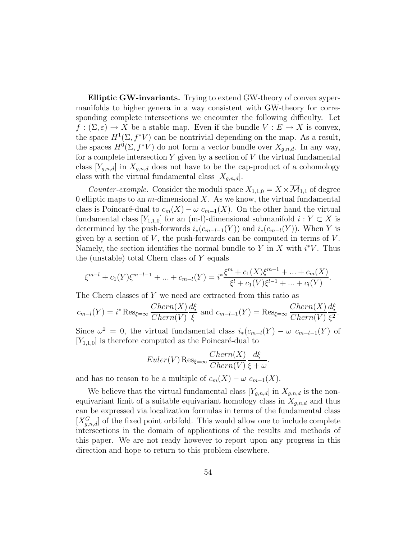Elliptic GW-invariants. Trying to extend GW-theory of convex sypermanifolds to higher genera in a way consistent with GW-theory for corresponding complete intersections we encounter the following difficulty. Let  $f : (\Sigma, \varepsilon) \to X$  be a stable map. Even if the bundle  $V : E \to X$  is convex, the space  $H^1(\Sigma, f^*V)$  can be nontrivial depending on the map. As a result, the spaces  $H^0(\Sigma, f^*V)$  do not form a vector bundle over  $X_{g,n,d}$ . In any way, for a complete intersection  $Y$  given by a section of  $V$  the virtual fundamental class  $[Y_{g,n,d}]$  in  $X_{g,n,d}$  does not have to be the cap-product of a cohomology class with the virtual fundamental class  $[X_{g,n,d}].$ 

Counter-example. Consider the moduli space  $X_{1,1,0} = X \times \overline{\mathcal{M}}_{1,1}$  of degree 0 elliptic maps to an  $m$ -dimensional  $X$ . As we know, the virtual fundamental class is Poincaré-dual to  $c_m(X) - \omega c_{m-1}(X)$ . On the other hand the virtual fundamental class  $[Y_{1,1,0}]$  for an (m-l)-dimensional submanifold  $i: Y \subset X$  is determined by the push-forwards  $i_*(c_{m-l-1}(Y))$  and  $i_*(c_{m-l}(Y))$ . When Y is given by a section of  $V$ , the push-forwards can be computed in terms of  $V$ . Namely, the section identifies the normal bundle to Y in X with  $i^*V$ . Thus the (unstable) total Chern class of Y equals

$$
\xi^{m-l} + c_1(Y)\xi^{m-l-1} + \dots + c_{m-l}(Y) = i^* \frac{\xi^m + c_1(X)\xi^{m-1} + \dots + c_m(X)}{\xi^l + c_1(V)\xi^{l-1} + \dots + c_l(Y)}.
$$

The Chern classes of Y we need are extracted from this ratio as

$$
c_{m-l}(Y) = i^* \operatorname{Res}_{\xi=\infty} \frac{Chern(X) d\xi}{Chern(V)} \frac{d\xi}{\xi} \text{ and } c_{m-l-1}(Y) = \operatorname{Res}_{\xi=\infty} \frac{Chern(X) d\xi}{Chern(V)} \frac{d\xi}{\xi^2}.
$$

Since  $\omega^2 = 0$ , the virtual fundamental class  $i_*(c_{m-l}(Y) - \omega c_{m-l-1}(Y))$  of  $[Y_{1,1,0}]$  is therefore computed as the Poincaré-dual to

$$
Euler(V) Res_{\xi=\infty} \frac{Chern(X)}{Chern(V)} \frac{d\xi}{\xi + \omega}.
$$

and has no reason to be a multiple of  $c_m(X) - \omega c_{m-1}(X)$ .

We believe that the virtual fundamental class  $[Y_{g,n,d}]$  in  $X_{g,n,d}$  is the nonequivariant limit of a suitable equivariant homology class in  $X_{q,n,d}$  and thus can be expressed via localization formulas in terms of the fundamental class  $[X_{g,n,d}^G]$  of the fixed point orbifold. This would allow one to include complete intersections in the domain of applications of the results and methods of this paper. We are not ready however to report upon any progress in this direction and hope to return to this problem elsewhere.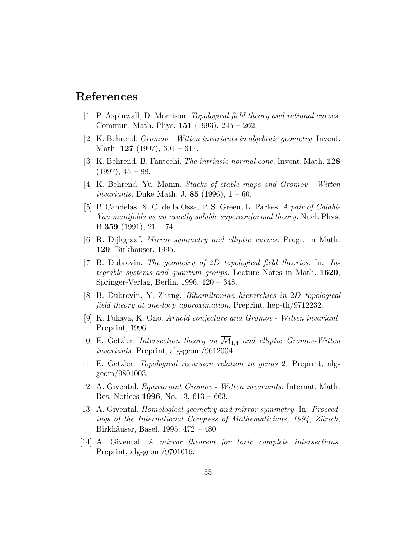### References

- [1] P. Aspinwall, D. Morrison. Topological field theory and rational curves. Commun. Math. Phys. 151 (1993), 245 – 262.
- [2] K. Behrend. Gromov Witten invariants in algebraic geometry. Invent. Math. **127** (1997), 601 – 617.
- [3] K. Behrend, B. Fantechi. The intrinsic normal cone. Invent. Math. 128  $(1997), 45 - 88.$
- [4] K. Behrend, Yu. Manin. Stacks of stable maps and Gromov Witten *invariants.* Duke Math. J.  $85$  (1996),  $1 - 60$ .
- [5] P. Candelas, X. C. de la Ossa, P. S. Green, L. Parkes. A pair of Calabi-Yau manifolds as an exactly soluble superconformal theory. Nucl. Phys. B 359 (1991),  $21 - 74$ .
- [6] R. Dijkgraaf. Mirror symmetry and elliptic curves. Progr. in Math. 129, Birkhäuser, 1995.
- [7] B. Dubrovin. The geometry of 2D topological field theories. In: Integrable systems and quantum groups. Lecture Notes in Math. 1620, Springer-Verlag, Berlin, 1996, 120 – 348.
- [8] B. Dubrovin, Y. Zhang. Bihamiltonian hierarchies in 2D topological field theory at one-loop approximation. Preprint, hep-th/9712232.
- [9] K. Fukaya, K. Ono. Arnold conjecture and Gromov Witten invariant. Preprint, 1996.
- [10] E. Getzler. Intersection theory on  $\overline{\mathcal{M}}_{1,4}$  and elliptic Gromov-Witten invariants. Preprint, alg-geom/9612004.
- [11] E. Getzler. Topological recursion relation in genus 2. Preprint, alggeom/9801003.
- [12] A. Givental. Equivariant Gromov Witten invariants. Internat. Math. Res. Notices 1996, No. 13, 613 – 663.
- [13] A. Givental. Homological geometry and mirror symmetry. In: Proceedings of the International Congress of Mathematicians,  $1994$ , Zürich, Birkhäuser, Basel, 1995, 472 – 480.
- [14] A. Givental. A mirror theorem for toric complete intersections. Preprint, alg-geom/9701016.